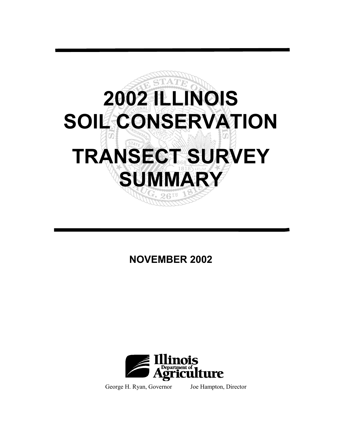

# **NOVEMBER 2002**



George H. Ryan, Governor Joe Hampton, Director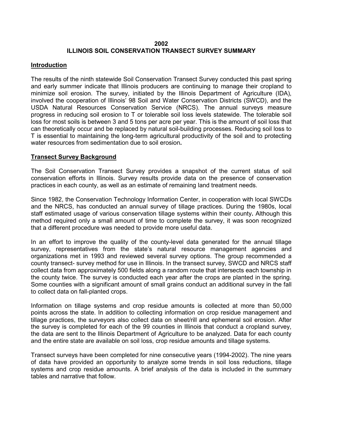#### **2002 ILLINOIS SOIL CONSERVATION TRANSECT SURVEY SUMMARY**

#### **Introduction**

The results of the ninth statewide Soil Conservation Transect Survey conducted this past spring and early summer indicate that Illinois producers are continuing to manage their cropland to minimize soil erosion. The survey, initiated by the Illinois Department of Agriculture (IDA), involved the cooperation of Illinois' 98 Soil and Water Conservation Districts (SWCD), and the USDA Natural Resources Conservation Service (NRCS). The annual surveys measure progress in reducing soil erosion to T or tolerable soil loss levels statewide. The tolerable soil loss for most soils is between 3 and 5 tons per acre per year. This is the amount of soil loss that can theoretically occur and be replaced by natural soil-building processes. Reducing soil loss to T is essential to maintaining the long-term agricultural productivity of the soil and to protecting water resources from sedimentation due to soil erosion**.** 

#### **Transect Survey Background**

The Soil Conservation Transect Survey provides a snapshot of the current status of soil conservation efforts in Illinois. Survey results provide data on the presence of conservation practices in each county, as well as an estimate of remaining land treatment needs.

Since 1982, the Conservation Technology Information Center, in cooperation with local SWCDs and the NRCS, has conducted an annual survey of tillage practices. During the 1980s, local staff estimated usage of various conservation tillage systems within their county**.** Although this method required only a small amount of time to complete the survey, it was soon recognized that a different procedure was needed to provide more useful data.

In an effort to improve the quality of the county-level data generated for the annual tillage survey, representatives from the state's natural resource management agencies and organizations met in 1993 and reviewed several survey options. The group recommended a county transect- survey method for use in Illinois. In the transect survey, SWCD and NRCS staff collect data from approximately 500 fields along a random route that intersects each township in the county twice. The survey is conducted each year after the crops are planted in the spring. Some counties with a significant amount of small grains conduct an additional survey in the fall to collect data on fall-planted crops.

Information on tillage systems and crop residue amounts is collected at more than 50,000 points across the state. In addition to collecting information on crop residue management and tillage practices, the surveyors also collect data on sheet/rill and ephemeral soil erosion. After the survey is completed for each of the 99 counties in Illinois that conduct a cropland survey, the data are sent to the Illinois Department of Agriculture to be analyzed. Data for each county and the entire state are available on soil loss, crop residue amounts and tillage systems.

Transect surveys have been completed for nine consecutive years (1994-2002). The nine years of data have provided an opportunity to analyze some trends in soil loss reductions, tillage systems and crop residue amounts. A brief analysis of the data is included in the summary tables and narrative that follow.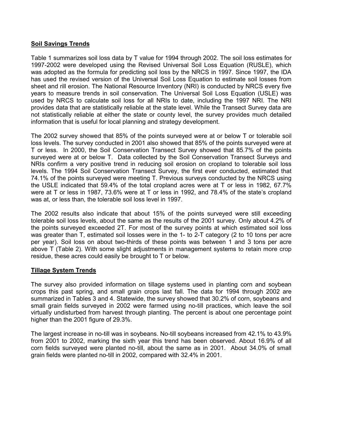#### **Soil Savings Trends**

Table 1 summarizes soil loss data by T value for 1994 through 2002. The soil loss estimates for 1997-2002 were developed using the Revised Universal Soil Loss Equation (RUSLE), which was adopted as the formula for predicting soil loss by the NRCS in 1997. Since 1997, the IDA has used the revised version of the Universal Soil Loss Equation to estimate soil losses from sheet and rill erosion. The National Resource Inventory (NRI) is conducted by NRCS every five years to measure trends in soil conservation. The Universal Soil Loss Equation (USLE) was used by NRCS to calculate soil loss for all NRIs to date, including the 1997 NRI. The NRI provides data that are statistically reliable at the state level. While the Transect Survey data are not statistically reliable at either the state or county level, the survey provides much detailed information that is useful for local planning and strategy development.

The 2002 survey showed that 85% of the points surveyed were at or below T or tolerable soil loss levels. The survey conducted in 2001 also showed that 85% of the points surveyed were at T or less. In 2000, the Soil Conservation Transect Survey showed that 85.7% of the points surveyed were at or below T. Data collected by the Soil Conservation Transect Surveys and NRIs confirm a very positive trend in reducing soil erosion on cropland to tolerable soil loss levels. The 1994 Soil Conservation Transect Survey, the first ever conducted, estimated that 74.1% of the points surveyed were meeting T. Previous surveys conducted by the NRCS using the USLE indicated that 59.4% of the total cropland acres were at T or less in 1982, 67.7% were at T or less in 1987, 73.6% were at T or less in 1992, and 78.4% of the state's cropland was at, or less than, the tolerable soil loss level in 1997.

The 2002 results also indicate that about 15% of the points surveyed were still exceeding tolerable soil loss levels, about the same as the results of the 2001 survey. Only about 4.2% of the points surveyed exceeded 2T. For most of the survey points at which estimated soil loss was greater than T, estimated soil losses were in the 1- to 2-T category (2 to 10 tons per acre per year). Soil loss on about two-thirds of these points was between 1 and 3 tons per acre above T (Table 2). With some slight adjustments in management systems to retain more crop residue, these acres could easily be brought to T or below.

#### **Tillage System Trends**

The survey also provided information on tillage systems used in planting corn and soybean crops this past spring, and small grain crops last fall. The data for 1994 through 2002 are summarized in Tables 3 and 4. Statewide, the survey showed that 30.2% of corn, soybeans and small grain fields surveyed in 2002 were farmed using no-till practices, which leave the soil virtually undisturbed from harvest through planting. The percent is about one percentage point higher than the 2001 figure of 29.3%.

The largest increase in no-till was in soybeans. No-till soybeans increased from 42.1% to 43.9% from 2001 to 2002, marking the sixth year this trend has been observed. About 16.9% of all corn fields surveyed were planted no-till, about the same as in 2001. About 34.0% of small grain fields were planted no-till in 2002, compared with 32.4% in 2001.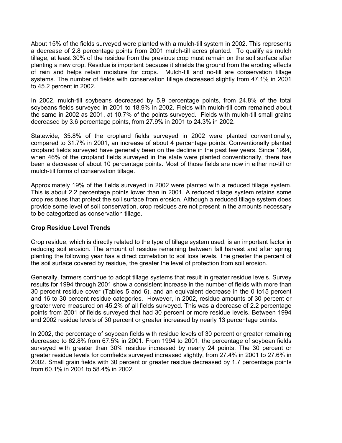About 15% of the fields surveyed were planted with a mulch-till system in 2002. This represents a decrease of 2.8 percentage points from 2001 mulch-till acres planted. To qualify as mulch tillage, at least 30% of the residue from the previous crop must remain on the soil surface after planting a new crop. Residue is important because it shields the ground from the eroding effects of rain and helps retain moisture for crops. Mulch-till and no-till are conservation tillage systems. The number of fields with conservation tillage decreased slightly from 47.1% in 2001 to 45.2 percent in 2002.

In 2002, mulch-till soybeans decreased by 5.9 percentage points, from 24.8% of the total soybeans fields surveyed in 2001 to 18.9% in 2002. Fields with mulch-till corn remained about the same in 2002 as 2001, at 10.7% of the points surveyed. Fields with mulch-till small grains decreased by 3.6 percentage points, from 27.9% in 2001 to 24.3% in 2002.

Statewide, 35.8% of the cropland fields surveyed in 2002 were planted conventionally, compared to 31.7% in 2001, an increase of about 4 percentage points. Conventionally planted cropland fields surveyed have generally been on the decline in the past few years. Since 1994, when 46% of the cropland fields surveyed in the state were planted conventionally, there has been a decrease of about 10 percentage points. Most of those fields are now in either no-till or mulch-till forms of conservation tillage.

Approximately 19% of the fields surveyed in 2002 were planted with a reduced tillage system. This is about 2.2 percentage points lower than in 2001. A reduced tillage system retains some crop residues that protect the soil surface from erosion. Although a reduced tillage system does provide some level of soil conservation, crop residues are not present in the amounts necessary to be categorized as conservation tillage.

#### **Crop Residue Level Trends**

Crop residue, which is directly related to the type of tillage system used, is an important factor in reducing soil erosion. The amount of residue remaining between fall harvest and after spring planting the following year has a direct correlation to soil loss levels. The greater the percent of the soil surface covered by residue, the greater the level of protection from soil erosion.

Generally, farmers continue to adopt tillage systems that result in greater residue levels. Survey results for 1994 through 2001 show a consistent increase in the number of fields with more than 30 percent residue cover (Tables 5 and 6), and an equivalent decrease in the 0 to15 percent and 16 to 30 percent residue categories. However, in 2002, residue amounts of 30 percent or greater were measured on 45.2% of all fields surveyed. This was a decrease of 2.2 percentage points from 2001 of fields surveyed that had 30 percent or more residue levels. Between 1994 and 2002 residue levels of 30 percent or greater increased by nearly 13 percentage points.

In 2002, the percentage of soybean fields with residue levels of 30 percent or greater remaining decreased to 62.8% from 67.5% in 2001. From 1994 to 2001, the percentage of soybean fields surveyed with greater than 30% residue increased by nearly 24 points. The 30 percent or greater residue levels for cornfields surveyed increased slightly, from 27.4% in 2001 to 27.6% in 2002. Small grain fields with 30 percent or greater residue decreased by 1.7 percentage points from 60.1% in 2001 to 58.4% in 2002.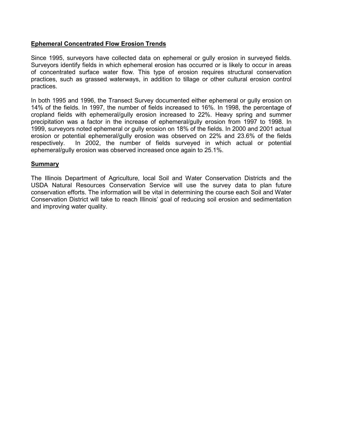#### **Ephemeral Concentrated Flow Erosion Trends**

Since 1995, surveyors have collected data on ephemeral or gully erosion in surveyed fields. Surveyors identify fields in which ephemeral erosion has occurred or is likely to occur in areas of concentrated surface water flow. This type of erosion requires structural conservation practices, such as grassed waterways, in addition to tillage or other cultural erosion control practices.

In both 1995 and 1996, the Transect Survey documented either ephemeral or gully erosion on 14% of the fields. In 1997, the number of fields increased to 16%. In 1998, the percentage of cropland fields with ephemeral/gully erosion increased to 22%. Heavy spring and summer precipitation was a factor in the increase of ephemeral/gully erosion from 1997 to 1998. In 1999, surveyors noted ephemeral or gully erosion on 18% of the fields. In 2000 and 2001 actual erosion or potential ephemeral/gully erosion was observed on 22% and 23.6% of the fields respectively. In 2002, the number of fields surveyed in which actual or potential ephemeral/gully erosion was observed increased once again to 25.1%.

#### **Summary**

The Illinois Department of Agriculture, local Soil and Water Conservation Districts and the USDA Natural Resources Conservation Service will use the survey data to plan future conservation efforts. The information will be vital in determining the course each Soil and Water Conservation District will take to reach Illinois' goal of reducing soil erosion and sedimentation and improving water quality.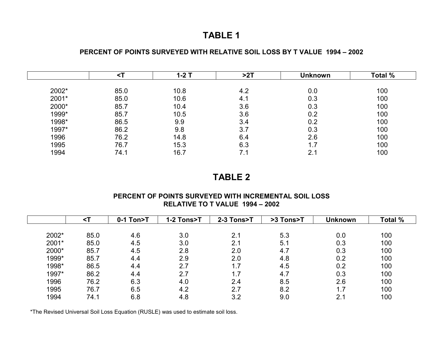## **TABLE 1**

#### **PERCENT OF POINTS SURVEYED WITH RELATIVE SOIL LOSS BY T VALUE 1994 – 2002**

|       | $1-2$ T |      | >2T | <b>Unknown</b> | Total % |  |
|-------|---------|------|-----|----------------|---------|--|
| 2002* | 85.0    | 10.8 | 4.2 | 0.0            | 100     |  |
| 2001* | 85.0    | 10.6 | 4.1 | 0.3            | 100     |  |
| 2000* | 85.7    | 10.4 | 3.6 | 0.3            | 100     |  |
| 1999* | 85.7    | 10.5 | 3.6 | 0.2            | 100     |  |
| 1998* | 86.5    | 9.9  | 3.4 | 0.2            | 100     |  |
| 1997* | 86.2    | 9.8  | 3.7 | 0.3            | 100     |  |
| 1996  | 76.2    | 14.8 | 6.4 | 2.6            | 100     |  |
| 1995  | 76.7    | 15.3 | 6.3 | 1.7            | 100     |  |
| 1994  | 74.1    | 16.7 | 7.1 | 2.1            | 100     |  |

## **TABLE 2**

#### **PERCENT OF POINTS SURVEYED WITH INCREMENTAL SOIL LOSS RELATIVE TO T VALUE 1994 – 2002**

|       | $\leq$ T | 0-1 Ton>T | 1-2 Tons>T | 2-3 Tons>T | >3 Tons>T | <b>Unknown</b> | <b>Total %</b> |
|-------|----------|-----------|------------|------------|-----------|----------------|----------------|
|       |          |           |            |            |           |                |                |
| 2002* | 85.0     | 4.6       | 3.0        | 2.1        | 5.3       | 0.0            | 100            |
| 2001* | 85.0     | 4.5       | 3.0        | 2.1        | 5.1       | 0.3            | 100            |
| 2000* | 85.7     | 4.5       | 2.8        | 2.0        | 4.7       | 0.3            | 100            |
| 1999* | 85.7     | 4.4       | 2.9        | 2.0        | 4.8       | 0.2            | 100            |
| 1998* | 86.5     | 4.4       | 2.7        | 1.7        | 4.5       | 0.2            | 100            |
| 1997* | 86.2     | 4.4       | 2.7        | 1.7        | 4.7       | 0.3            | 100            |
| 1996  | 76.2     | 6.3       | 4.0        | 2.4        | 8.5       | 2.6            | 100            |
| 1995  | 76.7     | 6.5       | 4.2        | 2.7        | 8.2       | 1.7            | 100            |
| 1994  | 74.1     | 6.8       | 4.8        | 3.2        | 9.0       | 2.1            | 100            |

\*The Revised Universal Soil Loss Equation (RUSLE) was used to estimate soil loss.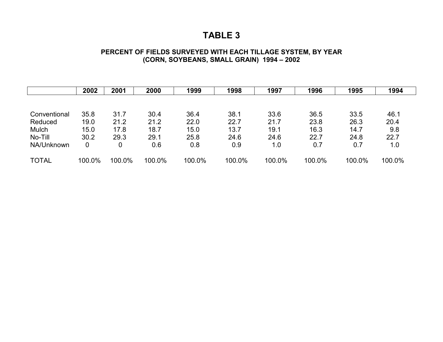### **TABLE 3**

#### **PERCENT OF FIELDS SURVEYED WITH EACH TILLAGE SYSTEM, BY YEAR (CORN, SOYBEANS, SMALL GRAIN) 1994 – 2002**

|              | 2002   | 2001   | 2000   | 1999   | 1998   | 1997   | 1996   | 1995   | 1994   |
|--------------|--------|--------|--------|--------|--------|--------|--------|--------|--------|
|              |        |        |        |        |        |        |        |        |        |
| Conventional | 35.8   | 31.7   | 30.4   | 36.4   | 38.1   | 33.6   | 36.5   | 33.5   | 46.1   |
| Reduced      | 19.0   | 21.2   | 21.2   | 22.0   | 22.7   | 21.7   | 23.8   | 26.3   | 20.4   |
| Mulch        | 15.0   | 17.8   | 18.7   | 15.0   | 13.7   | 19.1   | 16.3   | 14.7   | 9.8    |
| No-Till      | 30.2   | 29.3   | 29.1   | 25.8   | 24.6   | 24.6   | 22.7   | 24.8   | 22.7   |
| NA/Unknown   | 0      | 0      | 0.6    | 0.8    | 0.9    | 1.0    | 0.7    | 0.7    | 1.0    |
| <b>TOTAL</b> | 100.0% | 100.0% | 100.0% | 100.0% | 100.0% | 100.0% | 100.0% | 100.0% | 100.0% |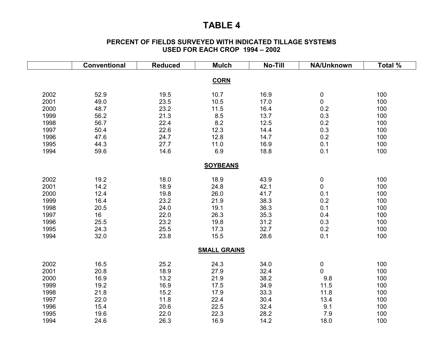### **TABLE 4**

#### **PERCENT OF FIELDS SURVEYED WITH INDICATED TILLAGE SYSTEMS USED FOR EACH CROP 1994 – 2002**

|      | <b>Conventional</b> | <b>Reduced</b> | <b>Mulch</b>        | <b>No-Till</b> | <b>NA/Unknown</b> | Total % |
|------|---------------------|----------------|---------------------|----------------|-------------------|---------|
|      |                     |                |                     |                |                   |         |
|      |                     |                | <b>CORN</b>         |                |                   |         |
| 2002 | 52.9                | 19.5           | 10.7                | 16.9           | 0                 | 100     |
| 2001 | 49.0                | 23.5           | 10.5                | 17.0           | $\mathbf 0$       | 100     |
| 2000 | 48.7                | 23.2           | 11.5                | 16.4           | 0.2               | 100     |
| 1999 | 56.2                | 21.3           | 8.5                 | 13.7           | 0.3               | 100     |
| 1998 | 56.7                | 22.4           | 8.2                 | 12.5           | 0.2               | 100     |
| 1997 | 50.4                | 22.6           | 12.3                | 14.4           | 0.3               | 100     |
| 1996 | 47.6                | 24.7           | 12.8                | 14.7           | 0.2               | 100     |
| 1995 | 44.3                | 27.7           | 11.0                | 16.9           | 0.1               | 100     |
| 1994 | 59.6                | 14.6           | 6.9                 | 18.8           | 0.1               | 100     |
|      |                     |                |                     |                |                   |         |
|      |                     |                | <b>SOYBEANS</b>     |                |                   |         |
| 2002 | 19.2                | 18.0           | 18.9                | 43.9           | 0                 | 100     |
| 2001 | 14.2                | 18.9           | 24.8                | 42.1           | 0                 | 100     |
| 2000 | 12.4                | 19.8           | 26.0                | 41.7           | 0.1               | 100     |
| 1999 | 16.4                | 23.2           | 21.9                | 38.3           | 0.2               | 100     |
| 1998 | 20.5                | 24.0           | 19.1                | 36.3           | 0.1               | 100     |
| 1997 | 16                  | 22.0           | 26.3                | 35.3           | 0.4               | 100     |
| 1996 | 25.5                | 23.2           | 19.8                | 31.2           | 0.3               | 100     |
| 1995 | 24.3                | 25.5           | 17.3                | 32.7           | 0.2               | 100     |
| 1994 | 32.0                | 23.8           | 15.5                | 28.6           | 0.1               | 100     |
|      |                     |                | <b>SMALL GRAINS</b> |                |                   |         |
|      |                     |                |                     |                |                   |         |
| 2002 | 16.5                | 25.2           | 24.3                | 34.0           | 0                 | 100     |
| 2001 | 20.8                | 18.9           | 27.9                | 32.4           | $\overline{0}$    | 100     |
| 2000 | 16.9                | 13.2           | 21.9                | 38.2           | 9.8               | 100     |
| 1999 | 19.2                | 16.9           | 17.5                | 34.9           | 11.5              | 100     |
| 1998 | 21.8                | 15.2           | 17.9                | 33.3           | 11.8              | 100     |
| 1997 | 22.0                | 11.8           | 22.4                | 30.4           | 13.4              | 100     |
| 1996 | 15.4                | 20.6           | 22.5                | 32.4           | 9.1               | 100     |
| 1995 | 19.6                | 22.0           | 22.3                | 28.2           | 7.9               | 100     |
| 1994 | 24.6                | 26.3           | 16.9                | 14.2           | 18.0              | 100     |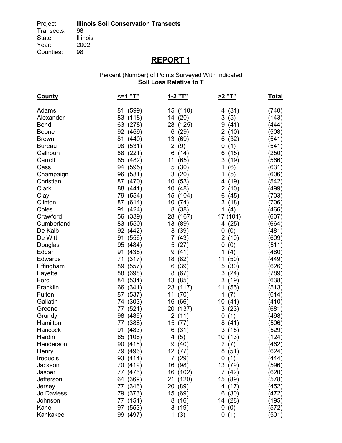Transects:<br>State: Illinois<br>2002 Year: 200<br>Counties: 98 Counties:

# **REPORT 1**

#### Percent (Number) of Points Surveyed With Indicated **Soil Loss Relative to T**

| <b>County</b> | <=1 "T"  | <u>1-2 "T"</u> | <u>&gt;2 "T"</u> | <u>Total</u> |
|---------------|----------|----------------|------------------|--------------|
| Adams         | 81 (599) | 15 (110)       | 4 (31)           | (740)        |
| Alexander     | 83 (118) | 14 (20)        | 3<br>(5)         | (143)        |
| <b>Bond</b>   | 63 (278) | 28 (125)       | 9(41)            | (444)        |
| Boone         | 92 (469) | 6(29)          | 2(10)            | (508)        |
| <b>Brown</b>  | 81 (440) | 13 (69)        | 6(32)            | (541)        |
| <b>Bureau</b> | 98 (531) | 2(9)           | (1)<br>0         | (541)        |
| Calhoun       | 88 (221) | 6(14)          | (15)<br>6        | (250)        |
| Carroll       | 85 (482) | 11 (65)        | 3<br>(19)        | (566)        |
| Cass          | 94 (595) | 5(30)          | 1<br>(6)         | (631)        |
| Champaign     | 96 (581) | 3(20)          | 1<br>(5)         | (606)        |
| Christian     | 87 (470) | 10(53)         | 4 (19)           | (542)        |
| Clark         | 88 (441) | 10(48)         | 2(10)            | (499)        |
| Clay          | 79 (554) | 15 (104)       | 6(45)            | (703)        |
| Clinton       | 87 (614) | 10(74)         | 3(18)            | (706)        |
| Coles         | 91 (424) | 8(38)          | 1(4)             | (466)        |
| Crawford      | 56 (339) | 28 (167)       | 17 (101)         | (607)        |
| Cumberland    | 83 (550) | 13 (89)        | 4(25)            | (664)        |
| De Kalb       | 92 (442) | 8(39)          | 0<br>(0)         | (481)        |
| De Witt       | 91 (556) | 7(43)          | 2(10)            | (609)        |
| Douglas       | 95 (484) | 5(27)          | 0<br>(0)         | (511)        |
| Edgar         | 91 (435) | 9(41)          | 1<br>(4)         | (480)        |
| Edwards       | 71 (317) | 18 (82)        | 11<br>(50)       | (449)        |
| Effingham     | 89 (557) | 6(39)          | 5(30)            | (626)        |
| Fayette       | 88 (698) | 8(67)          | 3(24)            | (789)        |
| Ford          | 84 (534) | 13 (85)        | 3(19)            | (638)        |
| Franklin      | 66 (341) | 23 (117)       | 11 (55)          | (513)        |
| Fulton        | 87 (537) | 11 (70)        | 1<br>(7)         | (614)        |
| Gallatin      | 74 (303) | 16 (66)        | 10(41)           | (410)        |
| Greene        | 77 (521) | 20 (137)       | 3(23)            | (681)        |
| Grundy        | 98 (486) | 2(11)          | (1)<br>0         | (498)        |
| Hamilton      | 77 (388) | 15 (77)        | 8(41)            | (506)        |
| Hancock       | 91 (483) | 6(31)          | 3(15)            | (529)        |
| Hardin        | 85 (106) | 4(5)           | 10 (13)          | (124)        |
| Henderson     | 90 (415) | 9(40)          | 2(7)             | (462)        |
| Henry         | 79 (496) | 12 (77)        | 8(51)            | (624)        |
| Iroquois      | 93 (414) | 7(29)          | 0(1)             | (444)        |
| Jackson       | 70 (419) | 16 (98)        | 13 (79)          | (596)        |
| Jasper        | 77 (476) | 16 (102)       | 7(42)            | (620)        |
| Jefferson     | 64 (369) | 21 (120)       | 15 (89)          | (578)        |
| Jersey        | 77 (346) | 20 (89)        | 4 (17)           | (452)        |
| Jo Daviess    | 79 (373) | 15 (69)        | 6(30)            | (472)        |
| Johnson       | 77 (151) | 8(16)          | 14 (28)          | (195)        |
| Kane          | 97 (553) | 3(19)          | 0(0)             | (572)        |
| Kankakee      | 99 (497) | 1(3)           | 0(1)             | (501)        |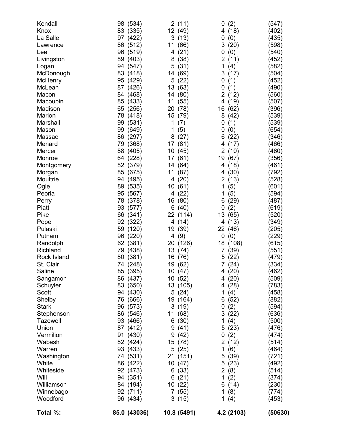| Kendall         | (534)<br>98  | 2(11)       | (2)<br>0               | (547)   |
|-----------------|--------------|-------------|------------------------|---------|
| Knox            | (335)<br>83  | 12 (49)     | (18)<br>4              | (402)   |
| La Salle        | 97 (422)     | 3(13)       | (0)<br>0               | (435)   |
| Lawrence        | 86 (512)     | 11<br>(66)  | 3<br>(20)              | (598)   |
| Lee             | 96 (519)     | 4(21)       | 0<br>(0)               | (540)   |
| Livingston      | (403)<br>89  | (38)<br>8   | 2<br>(11)              | (452)   |
| Logan           | 94 (547)     | 5(31)       | (4)<br>1               | (582)   |
| McDonough       | 83 (418)     | (69)<br>14  | (17)<br>3              | (504)   |
| McHenry         | 95 (429)     | 5(22)       | (1)<br>0               | (452)   |
| McLean          | 87<br>(426)  | 13 (63)     | 0<br>(1)               | (490)   |
| Macon           | 84<br>(468)  | 14 (80)     | 2<br>(12)              | (560)   |
| Macoupin        | (433)<br>85  | (55)<br>11  | (19)<br>4              | (507)   |
| Madison         | 65 (256)     | 20 (78)     | 16<br>(62)             | (396)   |
| Marion          | (418)<br>78  | 15 (79)     | 8<br>(42)              | (539)   |
| Marshall        | (531)<br>99  | 1<br>(7)    | 0<br>(1)               | (539)   |
| Mason           | 99<br>(649)  | 1<br>(5)    | (0)<br>0               | (654)   |
| Massac          | 86<br>(297)  | (27)<br>8   | (22)<br>6              | (346)   |
| Menard          | 79<br>(368)  | 17 (81)     | (17)<br>4              | (466)   |
| Mercer          | 88<br>(405)  | 10 (45)     | $\overline{2}$<br>(10) | (460)   |
| Monroe          | (228)<br>64  | 17 (61)     | 19<br>(67)             | (356)   |
| Montgomery      | 82 (379)     | 14 (64)     | (18)<br>4              | (461)   |
| Morgan          | 85 (675)     | 11(87)      | (30)<br>4              | (792)   |
| Moultrie        | (495)<br>94  | 4(20)       | 2<br>(13)              | (528)   |
| Ogle            | 89<br>(535)  | 10(61)      | 1<br>(5)               | (601)   |
| Peoria          | (567)<br>95  | 4 (22)      | (5)<br>1               | (594)   |
| Perry           | 78<br>(378)  | 16 (80)     | (29)<br>6              | (487)   |
| Piatt           | 93<br>(577)  | 6(40)       | (2)<br>0               | (619)   |
| Pike            | 66<br>(341)  | 22 (114)    | 13<br>(65)             | (520)   |
| Pope            | (322)<br>92  | 4 (14)      | (13)<br>4              | (349)   |
| Pulaski         | 59<br>(120)  | 19 (39)     | 22<br>(46)             | (205)   |
| Putnam          | (220)<br>96  | 4(9)        | 0<br>(0)               | (229)   |
| Randolph        | (381)<br>62  | 20 (126)    | 18<br>(108)            | (615)   |
| Richland        | (438)<br>79  | 13 (74)     | (39)<br>7              | (551)   |
| Rock Island     | (381)<br>80  | 16 (76)     | (22)<br>5              | (479)   |
| St. Clair       | 74 (248)     | 19 (62)     | 7(24)                  | (334)   |
| Saline          | 85 (395)     | 10(47)      | 4(20)                  | (462)   |
| Sangamon        | 86 (437)     | 10(52)      | (20)<br>4              | (509)   |
| Schuyler        | 83 (650)     | 13 (105)    | 4 (28)                 | (783)   |
| Scott           | 94 (430)     | 5(24)       | (4)<br>1               | (458)   |
| Shelby          | 76 (666)     | 19 (164)    | (52)<br>6              | (882)   |
| <b>Stark</b>    | 96 (573)     | 3(19)       | (2)<br>0               | (594)   |
| Stephenson      | 86 (546)     | 11 (68)     | 3(22)                  | (636)   |
| <b>Tazewell</b> | 93 (466)     | 6(30)       | 1<br>(4)               | (500)   |
| Union           | 87 (412)     | 9<br>(41)   | (23)<br>5              | (476)   |
| Vermilion       | 91<br>(430)  | 9<br>(42)   | (2)<br>0               | (474)   |
| Wabash          | 82 (424)     | 15 (78)     | 2<br>(12)              | (514)   |
| Warren          | 93 (433)     | 5(25)       | 1<br>(6)               | (464)   |
| Washington      | 74 (531)     | 21 (151)    | 5<br>(39)              | (721)   |
| White           | 86 (422)     | 10(47)      | (23)<br>5              | (492)   |
| Whiteside       | 92 (473)     | 6(33)       | $\overline{c}$<br>(8)  | (514)   |
| Will            | 94 (351)     | 6(21)       | 1<br>(2)               | (374)   |
| Williamson      | 84 (194)     | 10(22)      | 6(14)                  | (230)   |
| Winnebago       | 92 (711)     | 7(55)       | (8)<br>1               | (774)   |
| Woodford        | 96 (434)     | 3(15)       | 1<br>(4)               | (453)   |
| Total %:        | 85.0 (43036) | 10.8 (5491) | 4.2 (2103)             | (50630) |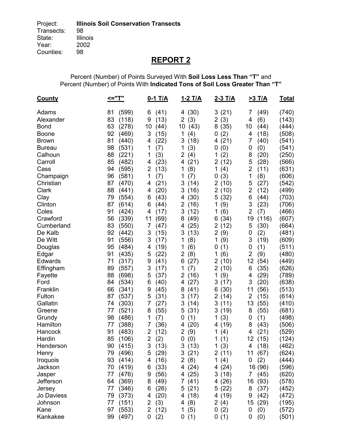Percent (Number) of Points Surveyed With **Soil Loss Less Than "T"** and Percent (Number) of Points With **Indicated Tons of Soil Loss Greater Than "T"** 

| <b>County</b>   | <="T"                | $0-1$ T/A              | <u>1-2 T/A</u>         | 2-3 T/A           | <u>&gt;3 T/A</u>       | <u>Total</u>   |
|-----------------|----------------------|------------------------|------------------------|-------------------|------------------------|----------------|
| Adams           | 81<br>(599)          | (41)<br>6              | 4(30)                  | 3(21)             | 7<br>(49)              | (740)          |
| Alexander       | 83<br>(118)          | (13)<br>9              | $\overline{2}$<br>(3)  | 2(3)              | (6)<br>4               | (143)          |
| <b>Bond</b>     | 63<br>(278)          | 10<br>(44)             | 10(43)                 | 8(35)             | 10<br>(44)             | (444)          |
| <b>Boone</b>    | 92<br>(469)          | 3<br>(15)              | 1<br>(4)               | (2)<br>0          | 4<br>(18)              | (508)          |
| <b>Brown</b>    | 81<br>(440)          | (22)<br>4              | 3<br>(18)              | 4(21)             | 7<br>(40)              | (541)          |
| <b>Bureau</b>   | 98<br>(531)          | 1<br>(7)               | (3)<br>1               | (0)<br>0          | (0)<br>0               | (541)          |
| Calhoun         | 88<br>(221)          | 1<br>(3)               | $\overline{2}$<br>(4)  | (2)<br>1          | 8<br>(20)              | (250)          |
| Carroll         | 85<br>(482)          | (23)<br>4              | (21)<br>4              | 2(12)             | 5<br>(28)              | (566)          |
| Cass            | 94<br>(595)          | $\overline{2}$<br>(13) | (8)<br>1               | 1<br>(4)          | $\overline{2}$<br>(11) | (631)          |
| Champaign       | 96<br>(581)          | 1<br>(7)               | 1<br>(7)               | (3)<br>0          | 1<br>(8)               | (606)          |
| Christian       | 87<br>(470)          | (21)<br>4              | 3<br>(14)              | 2(10)             | 5<br>(27)              | (542)          |
| Clark           | 88<br>(441)          | (20)<br>4              | 3<br>(16)              | 2(10)             | 2<br>(12)              | (499)          |
| Clay            | 79<br>(554)          | (43)<br>6              | (30)<br>4              | 5(32)             | (44)<br>6              | (703)          |
| Clinton         | 87<br>(614)          | (44)<br>6              | $\overline{2}$<br>(16) | 1<br>(9)          | 3<br>(23)              | (706)          |
| Coles           | 91<br>(424)          | (17)<br>4              | 3<br>(12)              | (6)<br>1          | $\overline{2}$<br>(7)  | (466)          |
| Crawford        | 56<br>(339)          | (69)<br>11             | (49)<br>8              | 6(34)             | 19<br>(116)            | (607)          |
| Cumberland      | 83<br>(550)          | $\overline{7}$<br>(47) | (25)<br>4              | 2(12)             | 5<br>(30)              | (664)          |
| De Kalb         | 92<br>(442)          | 3<br>(15)              | 3<br>(13)              | 2(9)              | (2)<br>0               | (481)          |
| De Witt         | 91<br>(556)          | 3<br>(17)              | (8)<br>1               | (9)<br>1          | 3<br>(19)              | (609)          |
| Douglas         | 95<br>(484)          | (19)<br>4              | 1<br>(6)               | (1)<br>0          | (1)<br>0               | (511)          |
| Edgar           | 91<br>(435)          | (22)<br>5              | 2<br>(8)               | 1<br>(6)          | $\overline{2}$<br>(9)  | (480)          |
| Edwards         | 71<br>(317)<br>89    | (41)<br>9              | (27)<br>6              | 2(10)             | 12<br>(54)             | (449)<br>(626) |
| Effingham       | (557)<br>88<br>(698) | 3<br>(17)<br>5<br>(37) | 1<br>(7)<br>2          | 2(10)<br>(9)<br>1 | (35)<br>6<br>4<br>(29) | (789)          |
| Fayette<br>Ford | (534)<br>84          | (40)<br>6              | (16)<br>(27)<br>4      | 3(17)             | 3<br>(20)              | (638)          |
| Franklin        | 66<br>(341)          | (45)<br>9              | (41)<br>8              | (30)<br>6         | 11<br>(56)             | (513)          |
| Fulton          | 87<br>(537)          | 5<br>(31)              | 3<br>(17)              | 2(14)             | $\overline{2}$<br>(15) | (614)          |
| Gallatin        | 74<br>(303)          | 7<br>(27)              | 3<br>(14)              | 3<br>(11)         | 13<br>(55)             | (410)          |
| Greene          | (521)<br>77          | 8<br>(55)              | (31)<br>5              | 3<br>(19)         | 8<br>(55)              | (681)          |
| Grundy          | 98<br>(486)          | 1<br>(7)               | (1)<br>0               | (3)<br>1          | (1)<br>0               | (498)          |
| Hamilton        | 77<br>(388)          | 7<br>(36)              | (20)<br>4              | 4 (19)            | 8<br>(43)              | (506)          |
| Hancock         | 91<br>(483)          | (12)<br>2              | $\overline{2}$<br>(9)  | (4)<br>1          | 4<br>(21)              | (529)          |
| Hardin          | 85<br>(106)          | $\overline{2}$<br>(2)  | 0<br>(0)               | 1<br>(1)          | 12<br>(15)             | (124)          |
| Henderson       | 90 (415)             | 3(13)                  | 3(13)                  | 1(3)              | 4 (18)                 | (462)          |
| Henry           | 79<br>(496)          | 5<br>(29)              | 3(21)                  | 2(11)             | 11 (67)                | (624)          |
| Iroquois        | 93<br>(414)          | (16)<br>4              | 2(8)                   | 1 $(4)$           | 0<br>(2)               | (444)          |
| Jackson         | 70<br>(419)          | (33)<br>6              | 4(24)                  | 4(24)             | 16 (96)                | (596)          |
| Jasper          | 77<br>(476)          | (56)<br>9              | 4 (25)                 | 3<br>(18)         | 7<br>(45)              | (620)          |
| Jefferson       | 64<br>(369)          | (49)<br>8              | 7(41)                  | 4(26)             | 16<br>(93)             | (578)          |
| Jersey          | 77<br>(346)          | (26)<br>6              | 5(21)                  | 5(22)             | 8<br>(37)              | (452)          |
| Jo Daviess      | (373)<br>79          | (20)<br>4              | 4(18)                  | 4 (19)            | (42)<br>9              | (472)          |
| Johnson         | 77<br>(151)          | 2<br>(3)               | 4 $(8)$                | 2(4)              | 15 (29)                | (195)          |
| Kane            | 97<br>(553)          | $\overline{2}$<br>(12) | 1<br>(5)               | 0(2)              | 0<br>(0)               | (572)          |
| Kankakee        | 99<br>(497)          | 0<br>(2)               | 0(1)                   | 0(1)              | 0<br>(0)               | (501)          |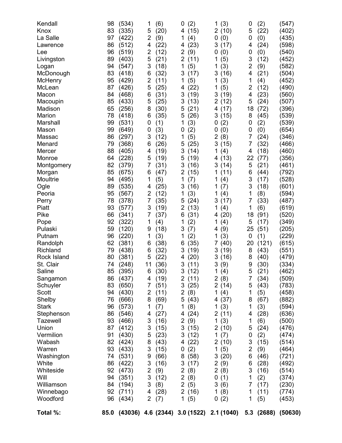| Kendall      | 98   | (534) | 1              | (6)  | (2)<br>0                                 | (3)<br>1              | 0              | (2)        | (547)   |
|--------------|------|-------|----------------|------|------------------------------------------|-----------------------|----------------|------------|---------|
| Knox         | 83   | (335) | 5              | (20) | (15)<br>4                                | 2(10)                 | 5              | (22)       | (402)   |
| La Salle     | 97   | (422) | 2              | (9)  | (4)<br>1                                 | (0)<br>0              | 0              | (0)        | (435)   |
| Lawrence     | 86   | (512) | 4              | (22) | (23)<br>4                                | 3<br>(17)             | 4              | (24)       | (598)   |
| Lee          | 96   | (519) | 2              | (12) | 2<br>(9)                                 | 0<br>(0)              | 0              | (0)        | (540)   |
| Livingston   | 89   | (403) | 5              | (21) | $\overline{2}$<br>(11)                   | 1<br>(5)              | 3              | (12)       | (452)   |
| Logan        | 94   | (547) | 3              | (18) | 1<br>(5)                                 | (3)<br>1              | $\overline{2}$ | (9)        | (582)   |
| McDonough    | 83   | (418) | 6              | (32) | (17)<br>3                                | 3<br>(16)             | 4              | (21)       | (504)   |
| McHenry      | 95   | (429) | $\overline{2}$ | (11) | 1<br>(5)                                 | (3)<br>1              | 1              | (4)        | (452)   |
| McLean       | 87   | (426) | 5              | (25) | (22)<br>4                                | (5)<br>1              | 2              | (12)       | (490)   |
| Macon        | 84   | (468) | 6              | (31) | 3<br>(19)                                | 3<br>(19)             | 4              | (23)       | (560)   |
| Macoupin     | 85   | (433) | 5              | (25) | 3<br>(13)                                | 2(12)                 | 5              | (24)       | (507)   |
| Madison      | 65   | (256) | 8              | (30) | (21)<br>5                                | 4 (17)                | 18             | (72)       | (396)   |
| Marion       | 78   | (418) | 6              | (35) | (26)<br>5                                | 3(15)                 | 8              | (45)       | (539)   |
| Marshall     | 99   | (531) | 0              | (1)  | 1<br>(3)                                 | 0<br>(2)              | 0              | (2)        | (539)   |
| Mason        | 99   | (649) | 0              | (3)  | (2)<br>0                                 | 0<br>(0)              | 0              | (0)        | (654)   |
| Massac       | 86   | (297) | 3              | (12) | (5)<br>1                                 | $\overline{2}$<br>(8) | 7              | (24)       | (346)   |
| Menard       | 79   | (368) | 6              | (26) | (25)<br>5                                | 3<br>(15)             | 7              | (32)       | (466)   |
| Mercer       | 88   | (405) | 4              | (19) | 3<br>(14)                                | 1<br>(4)              | 4              | (18)       | (460)   |
| Monroe       | 64   | (228) | 5              | (19) | (19)<br>5                                | (13)<br>4             | 22             | (77)       | (356)   |
| Montgomery   | 82   | (379) | 7              | (31) | 3<br>(16)                                | 3<br>(14)             | 5              | (21)       | (461)   |
| Morgan       | 85   | (675) | 6              | (47) | 2<br>(15)                                | 1<br>(11)             | 6              | (44)       | (792)   |
| Moultrie     | 94   | (495) | 1              | (5)  | 1<br>(7)                                 | (4)<br>1              | 3              | (17)       | (528)   |
| Ogle         | 89   | (535) | 4              | (25) | 3<br>(16)                                | 1<br>(7)              | 3              | (18)       | (601)   |
| Peoria       | 95   | (567) | $\overline{2}$ | (12) | (3)<br>1                                 | 1<br>(4)              | 1              | (8)        | (594)   |
| Perry        | 78   | (378) | 7              | (35) | (24)<br>5                                | 3<br>(17)             | 7              | (33)       | (487)   |
| Piatt        | 93   | (577) | 3              | (19) | 2<br>(13)                                | (4)<br>1              | 1              | (6)        | (619)   |
| Pike         | 66   | (341) | 7              | (37) | 6<br>(31)                                | 4(20)                 | 18             | (91)       | (520)   |
| Pope         | 92   | (322) | 1              | (4)  | 1<br>(2)                                 | 1<br>(4)              | 5              | (17)       | (349)   |
| Pulaski      | 59   | (120) | 9              | (18) | 3<br>(7)                                 | (9)<br>4              | 25             | (51)       | (205)   |
| Putnam       | 96   | (220) | 1              | (3)  | (2)<br>1                                 | (3)<br>1              | 0              | (1)        | (229)   |
| Randolph     | 62   | (381) | 6              | (38) | (35)<br>6                                | 7(40)                 | 20             | (121)      | (615)   |
| Richland     | 79   | (438) | 6              | (32) | 3<br>(19)                                | 3(19)                 | 8              | (43)       | (551)   |
| Rock Island  | 80   | (381) | 5              | (22) | (20)<br>4                                | 3<br>(16)             | 8              | (40)       | (479)   |
| St. Clair    | 74   | (248) | 11             | (36) | 3<br>(11)                                | 3<br>(9)              | 9              | (30)       | (334)   |
| Saline       | 85   | (395) | 6              | (30) | 3(12)                                    | 1(4)                  | 5              | (21)       | (462)   |
| Sangamon     | 86   | (437) | 4              | (19) | $\overline{2}$<br>(11)                   | 2(8)                  | 7              | (34)       | (509)   |
| Schuyler     | 83   | (650) | 7              | (51) | 3<br>(25)                                | 2(14)                 | 5              | (43)       | (783)   |
| Scott        | 94   | (430) | 2              | (11) | 2<br>(8)                                 | 1<br>(4)              | 1              | (5)        | (458)   |
| Shelby       | 76   | (666) | 8              | (69) | (43)<br>5                                | 4 (37)                | 8              | (67)       | (882)   |
| <b>Stark</b> | 96   | (573) | 1              | (7)  | 1<br>(8)                                 | 1<br>(3)              | 1              | (3)        | (594)   |
| Stephenson   | 86   | (546) | 4              | (27) | (24)<br>4                                | 2(11)                 | 4              | (28)       | (636)   |
| Tazewell     | 93   | (466) | 3              | (16) | $\overline{2}$<br>(9)                    | 1(3)                  | 1              | (6)        | (500)   |
| Union        | 87   | (412) | 3              | (15) | 3(15)                                    | 2(10)                 | 5              | (24)       | (476)   |
| Vermilion    | 91   | (430) | 5              | (23) | (12)<br>3                                | 1<br>(7)              | 0              | (2)        | (474)   |
| Wabash       | 82   | (424) | 8              | (43) | (22)<br>4                                | 2(10)                 | 3              | (15)       | (514)   |
| Warren       | 93   | (433) | 3              | (15) | (2)<br>0                                 | (5)<br>1              | $\overline{2}$ | (9)        | (464)   |
| Washington   | 74   | (531) | 9              | (66) | (58)<br>8                                | 3(20)                 | 6              | (46)       | (721)   |
| White        | 86   | (422) | 3              | (16) | 3<br>(17)                                | 2(9)                  | 6              | (28)       | (492)   |
| Whiteside    | 92   | (473) | $\overline{2}$ | (9)  | 2<br>(8)                                 | 2(8)                  | 3              | (16)       | (514)   |
| Will         | 94   | (351) | 3              | (12) | 2<br>(8)                                 | 0<br>(1)              | 1              | (2)        | (374)   |
| Williamson   | 84   | (194) | 3              | (8)  | $\overline{2}$<br>(5)                    | 3<br>(6)              | 7              | (17)       | (230)   |
| Winnebago    | 92   | (711) | 4              | (28) | $\overline{2}$<br>(16)                   | 1<br>(8)              | 1              | (11)       | (774)   |
| Woodford     | 96   | (434) | $\overline{2}$ | (7)  | 1<br>(5)                                 | (2)<br>0              | 1              | (5)        | (453)   |
| Total %:     | 85.0 |       |                |      | (43036) 4.6 (2344) 3.0 (1522) 2.1 (1040) |                       |                | 5.3 (2688) | (50630) |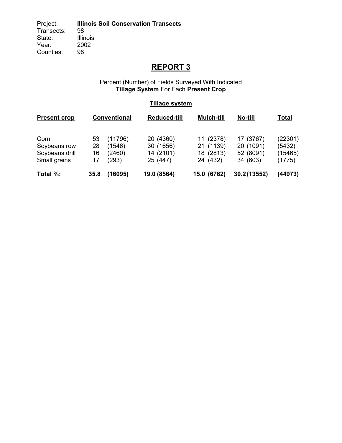Project: **Illinois Soil Conservation Transects** Transects:<br>State: Illinois<br>2002 Year: Counties: 98

## **REPORT 3**

#### Percent (Number) of Fields Surveyed With Indicated **Tillage System** For Each **Present Crop**

### **Tillage system**

| <b>Present crop</b> |      | Conventional | <b>Reduced-till</b> | <b>Mulch-till</b> | No-till     | <u>Total</u> |
|---------------------|------|--------------|---------------------|-------------------|-------------|--------------|
| Corn                | 53   | (11796)      | 20 (4360)           | 11 (2378)         | 17 (3767)   | (22301)      |
| Soybeans row        | 28   | (1546)       | 30 (1656)           | 21 (1139)         | 20 (1091)   | (5432)       |
| Soybeans drill      | 16   | (2460)       | 14 (2101)           | 18 (2813)         | 52 (8091)   | (15465)      |
| Small grains        | 17   | (293)        | 25 (447)            | 24 (432)          | 34 (603)    | (1775)       |
| Total %:            | 35.8 | (16095)      | 19.0 (8564)         | 15.0 (6762)       | 30.2(13552) | (44973)      |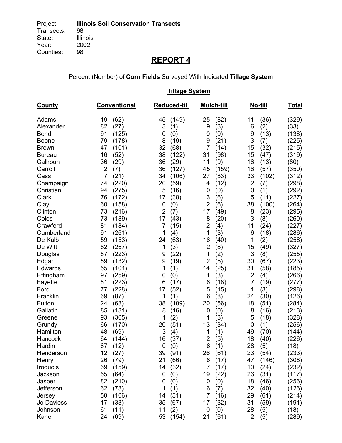Percent (Number) of **Corn Fields** Surveyed With Indicated **Tillage System** 

 **Tillage System County Conventional Reduced-till Mulch-till No-till Total** Adams 19 (62) 45 (149) 25 (82) 11 (36) (329) Alexander 82 (27) 3 (1) 9 (3) 6 (2) (33) Bond 91 (125) 0 (0) 0 (0) 9 (13) (138) Boone 79 (178) 8 (19) 9 (21) 3 (7) (225) Brown 47 (101) 32 (68) 7 (14) 15 (32) (215) Bureau 16 (52) 38 (122) 31 (98) 15 (47) (319) Calhoun 36 (29) 36 (29) 11 (9) 16 (13) (80) Carroll 2 (7) 36 (127) 45 (159) 16 (57) (350) Cass 7 (21) 34 (106) 27 (83) 33 (102) (312) Champaign 74 (220) 20 (59) 4 (12) 2 (7) (298) Christian 94 (275) 5 (16) 0 (0) 0 (1) (292) Clark 76 (172) 17 (38) 3 (6) 5 (11) (227) Clay 60 (158) 0 (0) 2 (6) 38 (100) (264) Clinton 73 (216) 2 (7) 17 (49) 8 (23) (295) Coles 73 (189) 17 (43) 8 (20) 3 (8) (260) Crawford 81 (184) 7 (15) 2 (4) 11 (24) (227) Cumberland 91 (261) 1 (4) 1 (3) 6 (18) (286) De Kalb 59 (153) 24 (63) 16 (40) 1 (2) (258) De Witt 82 (267) 1 (3) 2 (8) 15 (49) (327) Douglas 87 (223) 9 (22) 1 (2) 3 (8) (255) Edgar 59 (132) 9 (19) 2 (5) 30 (67) (223) Edwards 55 (101) 1 (1) 14 (25) 31 (58) (185) Effingham 97 (259) 0 (0) 1 (3) 2 (4) (266) Fayette 81 (223) 6 (17) 6 (18) 7 (19) (277) Ford 77 (228) 17 (52) 5 (15) 1 (3) (298) Franklin 69 (87) 1 (1) 6 (8) 24 (30) (126) Fulton 24 (68) 38 (109) 20 (56) 18 (51) (284) Gallatin 85 (181) 8 (16) 0 (0) 8 (16) (213) Greene 93 (305) 1 (2) 1 (3) 5 (18) (328) Grundy 66 (170) 20 (51) 13 (34) 0 (1) (256) Hamilton 48 (69) 3 (4) 1 (1) 49 (70) (144) Hancock 64 (144) 16 (37) 2 (5) 18 (40) (226) Hardin 67 (12) 0 (0) 6 (1) 28 (5) (18) Henderson 12 (27) 39 (91) 26 (61) 23 (54) (233) Henry 26 (79) 21 (66) 6 (17) 47 (146) (308) Iroquois 69 (159) 14 (32) 7 (17) 10 (24) (232) Jackson 55 (64) 0 (0) 19 (22) 26 (31) (117) Jasper 82 (210) 0 (0) 0 (0) 18 (46) (256) Jefferson 62 (78) 1 (1) 6 (7) 32 (40) (126) Jersey 50 (106) 14 (31) 7 (16) 29 (61) (214) Jo Daviess 17 (33) 35 (67) 17 (32) 31 (59) (191) Johnson 61 (11) 11 (2) 0 (0) 28 (5) (18)

Kane 24 (69) 53 (154) 21 (61) 2 (5) (289)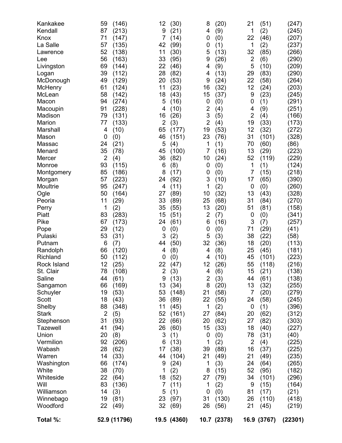| Kankakee<br>Kendall<br>Knox<br>La Salle<br>Lawrence<br>Lee<br>Livingston<br>Logan<br>McDonough<br>McHenry<br>McLean<br>Macon<br>Macoupin<br>Madison<br>Marion<br>Marshall<br>Mason<br>Massac<br>Menard<br>Mercer<br>Monroe<br>Montgomery<br>Morgan<br>Moultrie<br>Ogle<br>Peoria<br>Perry<br>Piatt<br>Pike<br>Pope<br>Pulaski<br>Putnam<br>Randolph<br>Richland<br>Rock Island<br>St. Clair<br>Saline<br>Sangamon<br>Schuyler<br>Scott<br>Shelby<br><b>Stark</b><br>Stephenson<br><b>Tazewell</b><br>Union<br>Vermilion<br>Wabash<br>Warren<br>Washington<br>White<br>Whiteside<br>Will<br>Williamson<br>Winnebago | 59<br>(146)<br>87<br>(213)<br>71<br>(147)<br>57<br>(135)<br>52<br>(138)<br>56<br>(163)<br>69<br>(144)<br>39<br>(112)<br>49<br>(129)<br>61<br>(124)<br>58<br>(142)<br>(274)<br>94<br>91<br>(228)<br>79<br>(131)<br>77<br>(133)<br>4<br>(10)<br>0<br>(0)<br>24<br>(21)<br>35<br>(78)<br>$\overline{2}$<br>(4)<br>93<br>(115)<br>85<br>(186)<br>57<br>(223)<br>95<br>(247)<br>50<br>(164)<br>11<br>(29)<br>1<br>(2)<br>83<br>(283)<br>67<br>(173)<br>29<br>(12)<br>53<br>(31)<br>6<br>(7)<br>66<br>(120)<br>50<br>(112)<br>12<br>(25)<br>78<br>(108)<br>(61)<br>44<br>(169)<br>66<br>(53)<br>19<br>18<br>(43)<br>88<br>(348)<br>$\overline{2}$<br>(5)<br>31<br>(93)<br>41<br>(94)<br>20<br>(8)<br>92<br>(206)<br>28<br>(62)<br>(33)<br>14<br>66<br>(174)<br>38<br>(70)<br>22<br>(64)<br>83<br>(136)<br>14<br>(3)<br>19<br>(81) | 12<br>9<br>7<br>42<br>11<br>33<br>22<br>28<br>20<br>11<br>18<br>5<br>4<br>16<br>$\overline{2}$<br>65<br>46<br>5<br>45<br>36<br>6<br>8<br>24<br>4<br>27<br>33<br>35<br>15<br>24<br>0<br>3<br>44<br>4<br>0<br>22<br>$\overline{\mathbf{c}}$<br>9<br>13<br>53<br>36<br>11<br>52<br>22<br>26<br>3<br>6<br>17<br>44<br>9<br>1<br>18<br>$\overline{7}$<br>5<br>23 | (30)<br>(21)<br>(14)<br>(99)<br>(30)<br>(95)<br>(46)<br>(82)<br>(53)<br>(23)<br>(43)<br>(16)<br>(10)<br>(26)<br>(3)<br>(177)<br>(151)<br>(4)<br>(100)<br>(82)<br>(8)<br>(17)<br>(92)<br>(11)<br>(89)<br>(89)<br>(55)<br>(51)<br>(61)<br>(0)<br>(2)<br>(50)<br>(8)<br>(0)<br>(47)<br>(3)<br>(13)<br>(34)<br>(148)<br>(89)<br>(45)<br>(161)<br>(66)<br>(60)<br>(1)<br>(13)<br>(38)<br>(104)<br>(24)<br>(2)<br>(52)<br>(11)<br>(1)<br>(97) | 8<br>4<br>0<br>0<br>5<br>9<br>4<br>4<br>9<br>16<br>15<br>0<br>$\overline{c}$<br>3<br>$\overline{2}$<br>19<br>23<br>1<br>7<br>10<br>$\boldsymbol{0}$<br>$\boldsymbol{0}$<br>3<br>1<br>10<br>25<br>13<br>$\overline{2}$<br>6<br>$\boldsymbol{0}$<br>5<br>32<br>4<br>4<br>12<br>4<br>$\overline{2}$<br>8<br>21<br>22<br>1<br>27<br>20<br>15<br>0<br>1<br>39<br>21<br>1<br>8<br>27<br>1<br>0<br>31 | (20)<br>(9)<br>(0)<br>(1)<br>(13)<br>(26)<br>(9)<br>(13)<br>(24)<br>(32)<br>(37)<br>(0)<br>(4)<br>(5)<br>(4)<br>(53)<br>(76)<br>(1)<br>(16)<br>(24)<br>(0)<br>(0)<br>(10)<br>(2)<br>(32)<br>(68)<br>(20)<br>(7)<br>(16)<br>(0)<br>(3)<br>(36)<br>(8)<br>(10)<br>(26)<br>(6)<br>(3)<br>(20)<br>(58)<br>(55)<br>(2)<br>(84)<br>(62)<br>(33)<br>(0)<br>(2)<br>(88)<br>(49)<br>(3)<br>(15)<br>(79)<br>(2)<br>(0)<br>(130) | 21<br>1<br>22<br>1<br>32<br>$\mathbf{2}$<br>5<br>29<br>22<br>12<br>9<br>0<br>4<br>$\overline{2}$<br>19<br>12<br>31<br>70<br>13<br>52<br>1<br>7<br>17<br>$\mathbf 0$<br>13<br>31<br>51<br>0<br>3<br>71<br>38<br>18<br>25<br>45<br>55<br>15<br>44<br>13<br>7<br>24<br>0<br>20<br>27<br>18<br>78<br>$\overline{2}$<br>16<br>21<br>24<br>52<br>34<br>9<br>81<br>26 | (51)<br>(2)<br>(46)<br>(2)<br>(85)<br>(6)<br>(10)<br>(83)<br>(58)<br>(24)<br>(23)<br>(1)<br>(9)<br>(4)<br>(33)<br>(32)<br>(101)<br>(60)<br>(29)<br>(119)<br>(1)<br>(15)<br>(65)<br>(0)<br>(43)<br>(84)<br>(81)<br>(0)<br>(7)<br>(29)<br>(22)<br>(20)<br>(45)<br>(101)<br>(118)<br>(21)<br>(61)<br>(32)<br>(20)<br>(58)<br>(1)<br>(62)<br>(82)<br>(40)<br>(31)<br>(4)<br>(37)<br>(49)<br>(64)<br>(95)<br>(101)<br>(15)<br>(17)<br>(110) | (247)<br>(245)<br>(207)<br>(237)<br>(266)<br>(290)<br>(209)<br>(290)<br>(264)<br>(203)<br>(245)<br>(291)<br>(251)<br>(166)<br>(173)<br>(272)<br>(328)<br>(86)<br>(223)<br>(229)<br>(124)<br>(218)<br>(390)<br>(260)<br>(328)<br>(270)<br>(158)<br>(341)<br>(257)<br>(41)<br>(58)<br>(113)<br>(181)<br>(223)<br>(216)<br>(138)<br>(138)<br>(255)<br>(279)<br>(245)<br>(396)<br>(312)<br>(303)<br>(227)<br>(40)<br>(225)<br>(225)<br>(235)<br>(265)<br>(182)<br>(296)<br>(164)<br>(21)<br>(418) |
|--------------------------------------------------------------------------------------------------------------------------------------------------------------------------------------------------------------------------------------------------------------------------------------------------------------------------------------------------------------------------------------------------------------------------------------------------------------------------------------------------------------------------------------------------------------------------------------------------------------------|-----------------------------------------------------------------------------------------------------------------------------------------------------------------------------------------------------------------------------------------------------------------------------------------------------------------------------------------------------------------------------------------------------------------------------------------------------------------------------------------------------------------------------------------------------------------------------------------------------------------------------------------------------------------------------------------------------------------------------------------------------------------------------------------------------------------------------|-------------------------------------------------------------------------------------------------------------------------------------------------------------------------------------------------------------------------------------------------------------------------------------------------------------------------------------------------------------|-----------------------------------------------------------------------------------------------------------------------------------------------------------------------------------------------------------------------------------------------------------------------------------------------------------------------------------------------------------------------------------------------------------------------------------------|------------------------------------------------------------------------------------------------------------------------------------------------------------------------------------------------------------------------------------------------------------------------------------------------------------------------------------------------------------------------------------------------|-----------------------------------------------------------------------------------------------------------------------------------------------------------------------------------------------------------------------------------------------------------------------------------------------------------------------------------------------------------------------------------------------------------------------|----------------------------------------------------------------------------------------------------------------------------------------------------------------------------------------------------------------------------------------------------------------------------------------------------------------------------------------------------------------|----------------------------------------------------------------------------------------------------------------------------------------------------------------------------------------------------------------------------------------------------------------------------------------------------------------------------------------------------------------------------------------------------------------------------------------|-----------------------------------------------------------------------------------------------------------------------------------------------------------------------------------------------------------------------------------------------------------------------------------------------------------------------------------------------------------------------------------------------------------------------------------------------------------------------------------------------|
| Woodford                                                                                                                                                                                                                                                                                                                                                                                                                                                                                                                                                                                                           | 22<br>(49)                                                                                                                                                                                                                                                                                                                                                                                                                                                                                                                                                                                                                                                                                                                                                                                                                  | 32                                                                                                                                                                                                                                                                                                                                                          | (69)                                                                                                                                                                                                                                                                                                                                                                                                                                    | 26                                                                                                                                                                                                                                                                                                                                                                                             | (56)                                                                                                                                                                                                                                                                                                                                                                                                                  | 21                                                                                                                                                                                                                                                                                                                                                             | (45)                                                                                                                                                                                                                                                                                                                                                                                                                                   | (219)                                                                                                                                                                                                                                                                                                                                                                                                                                                                                         |
| Total %:                                                                                                                                                                                                                                                                                                                                                                                                                                                                                                                                                                                                           | 52.9 (11796)                                                                                                                                                                                                                                                                                                                                                                                                                                                                                                                                                                                                                                                                                                                                                                                                                |                                                                                                                                                                                                                                                                                                                                                             | 19.5 (4360)                                                                                                                                                                                                                                                                                                                                                                                                                             |                                                                                                                                                                                                                                                                                                                                                                                                | 10.7 (2378)                                                                                                                                                                                                                                                                                                                                                                                                           |                                                                                                                                                                                                                                                                                                                                                                | 16.9 (3767)                                                                                                                                                                                                                                                                                                                                                                                                                            | (22301)                                                                                                                                                                                                                                                                                                                                                                                                                                                                                       |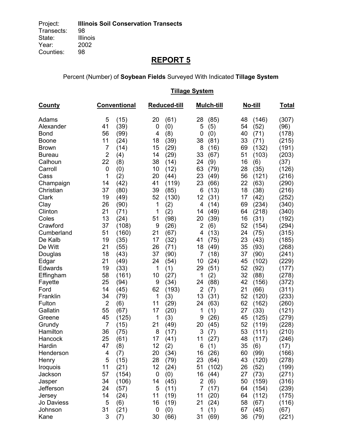Percent (Number) of **Soybean Fields** Surveyed With Indicated **Tillage System** 

|               |                | <b>Tillage System</b> |             |                     |                |            |    |         |              |  |  |
|---------------|----------------|-----------------------|-------------|---------------------|----------------|------------|----|---------|--------------|--|--|
| <b>County</b> |                | <b>Conventional</b>   |             | <b>Reduced-till</b> |                | Mulch-till |    | No-till | <u>Total</u> |  |  |
| Adams         | 5              | (15)                  | 20          | (61)                | 28             | (85)       | 48 | (146)   | (307)        |  |  |
| Alexander     | 41             | (39)                  | $\mathbf 0$ | (0)                 | 5              | (5)        | 54 | (52)    | (96)         |  |  |
| <b>Bond</b>   | 56             | (99)                  | 4           | (8)                 | 0              | (0)        | 40 | (71)    | (178)        |  |  |
| <b>Boone</b>  | 11             | (24)                  | 18          | (39)                | 38             | (81)       | 33 | (71)    | (215)        |  |  |
| <b>Brown</b>  | 7              | (14)                  | 15          | (29)                | 8              | (16)       | 69 | (132)   | (191)        |  |  |
| <b>Bureau</b> | $\overline{2}$ | (4)                   | 14          | (29)                | 33             | (67)       | 51 | (103)   | (203)        |  |  |
| Calhoun       | 22             | (8)                   | 38          | (14)                | 24             | (9)        | 16 | (6)     | (37)         |  |  |
| Carroll       | 0              | (0)                   | 10          | (12)                | 63             | (79)       | 28 | (35)    | (126)        |  |  |
| Cass          | 1              | (2)                   | 20          | (44)                | 23             | (49)       | 56 | (121)   | (216)        |  |  |
| Champaign     | 14             | (42)                  | 41          | (119)               | 23             | (66)       | 22 | (63)    | (290)        |  |  |
| Christian     | 37             | (80)                  | 39          | (85)                | 6              | (13)       | 18 | (38)    | (216)        |  |  |
| Clark         | 19             | (49)                  | 52          | (130)               | 12             | (31)       | 17 | (42)    | (252)        |  |  |
| Clay          | 26             | (90)                  | 1           | (2)                 | 4              | (14)       | 69 | (234)   | (340)        |  |  |
| Clinton       | 21             | (71)                  | 1           | (2)                 | 14             | (49)       | 64 | (218)   | (340)        |  |  |
| Coles         | 13             | (24)                  | 51          | (98)                | 20             | (39)       | 16 | (31)    | (192)        |  |  |
| Crawford      | 37             | (108)                 | 9           | (26)                | $\overline{2}$ | (6)        | 52 | (154)   | (294)        |  |  |
| Cumberland    | 51             | (160)                 | 21          | (67)                | 4              | (13)       | 24 | (75)    | (315)        |  |  |
| De Kalb       | 19             | (35)                  | 17          | (32)                | 41             | (75)       | 23 | (43)    | (185)        |  |  |
| De Witt       | 21             | (55)                  | 26          | (71)                | 18             | (49)       | 35 | (93)    | (268)        |  |  |
| Douglas       | 18             | (43)                  | 37          | (90)                | 7              | (18)       | 37 | (90)    | (241)        |  |  |
| Edgar         | 21             | (49)                  | 24          | (54)                | 10             | (24)       | 45 | (102)   | (229)        |  |  |
| Edwards       | 19             | (33)                  | 1           | (1)                 | 29             | (51)       | 52 | (92)    | (177)        |  |  |
| Effingham     | 58             | (161)                 | 10          | (27)                | 1              | (2)        | 32 | (88)    | (278)        |  |  |
| Fayette       | 25             | (94)                  | 9           | (34)                | 24             | (88)       | 42 | (156)   | (372)        |  |  |
| Ford          | 14             | (45)                  | 62          | (193)               | $\overline{2}$ | (7)        | 21 | (66)    | (311)        |  |  |
| Franklin      | 34             | (79)                  | 1           | (3)                 | 13             | (31)       | 52 | (120)   | (233)        |  |  |
| Fulton        | $\overline{2}$ | (6)                   | 11          | (29)                | 24             | (63)       | 62 | (162)   | (260)        |  |  |
| Gallatin      | 55             | (67)                  | 17          | (20)                | 1              | (1)        | 27 | (33)    | (121)        |  |  |
| Greene        | 45             | (125)                 | 1           | (3)                 | 9              | (26)       | 45 | (125)   | (279)        |  |  |
| Grundy        | $\overline{7}$ | (15)                  | 21          | (49)                | 20             | (45)       | 52 | (119)   | (228)        |  |  |
| Hamilton      | 36             | (75)                  | 8           | (17)                | 3              | (7)        | 53 | (111)   | (210)        |  |  |
| Hancock       | 25             | (61)                  | 17          | (41)                | 11             | (27)       | 48 | (117)   | (246)        |  |  |
| Hardin        | 47             | (8)                   | 12          | (2)                 | 6              | (1)        | 35 | (6)     | (17)         |  |  |
| Henderson     | 4              | (7)                   | 20          | (34)                | 16             | (26)       | 60 | (99)    | (166)        |  |  |
| Henry         | 5              | (15)                  | 28          | (79)                | 23             | (64)       | 43 | (120)   | (278)        |  |  |
| Iroquois      | 11             | (21)                  | 12          | (24)                | 51             | (102)      | 26 | (52)    | (199)        |  |  |
| Jackson       | 57             | (154)                 | 0           | (0)                 | 16             | (44)       | 27 | (73)    | (271)        |  |  |
| Jasper        | 34             | (106)                 | 14          | (45)                | $\overline{c}$ | (6)        | 50 | (159)   | (316)        |  |  |
| Jefferson     | 24             | (57)                  | 5           | (11)                | 7              | (17)       | 64 | (154)   | (239)        |  |  |
| Jersey        | 14             | (24)                  | 11          | (19)                | 11             | (20)       | 64 | (112)   | (175)        |  |  |
| Jo Daviess    | 5              | (6)                   | 16          | (19)                | 21             | (24)       | 58 | (67)    | (116)        |  |  |
| Johnson       | 31             | (21)                  | $\mathbf 0$ | (0)                 | 1              | (1)        | 67 | (45)    | (67)         |  |  |
| Kane          | 3              | (7)                   | 30          | (66)                | 31             | (69)       | 36 | (79)    | (221)        |  |  |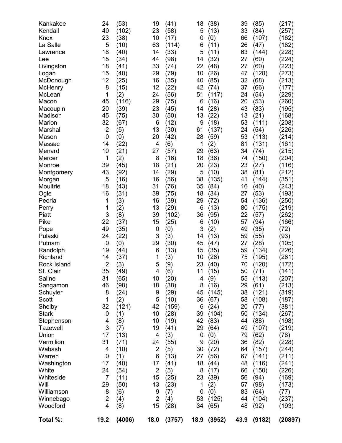| 24<br>40 | (53)<br>(102)                                                                                                                                                                                                                                                                  | 19<br>23                                                                                                                                                                                                                                                                                                  | (41)<br>(58)                                                                                                                                                                                                                      | 18<br>5                                                                                                                                                                                                                                                                                                               | (38)<br>(13)                                                                                                                                                                                                     | 39<br>33                                                                                                                                                                                                                                                                                                                             | (85)<br>(84)                                                                                                                                                                                                               | (217)<br>(257)                                                                                                                                                                                                                                                                                                                                       |
|----------|--------------------------------------------------------------------------------------------------------------------------------------------------------------------------------------------------------------------------------------------------------------------------------|-----------------------------------------------------------------------------------------------------------------------------------------------------------------------------------------------------------------------------------------------------------------------------------------------------------|-----------------------------------------------------------------------------------------------------------------------------------------------------------------------------------------------------------------------------------|-----------------------------------------------------------------------------------------------------------------------------------------------------------------------------------------------------------------------------------------------------------------------------------------------------------------------|------------------------------------------------------------------------------------------------------------------------------------------------------------------------------------------------------------------|--------------------------------------------------------------------------------------------------------------------------------------------------------------------------------------------------------------------------------------------------------------------------------------------------------------------------------------|----------------------------------------------------------------------------------------------------------------------------------------------------------------------------------------------------------------------------|------------------------------------------------------------------------------------------------------------------------------------------------------------------------------------------------------------------------------------------------------------------------------------------------------------------------------------------------------|
| 23       | (38)                                                                                                                                                                                                                                                                           | 10                                                                                                                                                                                                                                                                                                        | (17)                                                                                                                                                                                                                              | 0                                                                                                                                                                                                                                                                                                                     | (0)                                                                                                                                                                                                              | 66                                                                                                                                                                                                                                                                                                                                   | (107)                                                                                                                                                                                                                      | (162)                                                                                                                                                                                                                                                                                                                                                |
| 5        | (10)                                                                                                                                                                                                                                                                           | 63                                                                                                                                                                                                                                                                                                        | (114)                                                                                                                                                                                                                             | 6                                                                                                                                                                                                                                                                                                                     | (11)                                                                                                                                                                                                             | 26                                                                                                                                                                                                                                                                                                                                   | (47)                                                                                                                                                                                                                       | (182)                                                                                                                                                                                                                                                                                                                                                |
|          |                                                                                                                                                                                                                                                                                |                                                                                                                                                                                                                                                                                                           |                                                                                                                                                                                                                                   |                                                                                                                                                                                                                                                                                                                       |                                                                                                                                                                                                                  |                                                                                                                                                                                                                                                                                                                                      |                                                                                                                                                                                                                            | (228)                                                                                                                                                                                                                                                                                                                                                |
|          |                                                                                                                                                                                                                                                                                |                                                                                                                                                                                                                                                                                                           |                                                                                                                                                                                                                                   |                                                                                                                                                                                                                                                                                                                       |                                                                                                                                                                                                                  |                                                                                                                                                                                                                                                                                                                                      |                                                                                                                                                                                                                            | (224)                                                                                                                                                                                                                                                                                                                                                |
|          |                                                                                                                                                                                                                                                                                |                                                                                                                                                                                                                                                                                                           |                                                                                                                                                                                                                                   |                                                                                                                                                                                                                                                                                                                       |                                                                                                                                                                                                                  |                                                                                                                                                                                                                                                                                                                                      |                                                                                                                                                                                                                            | (223)                                                                                                                                                                                                                                                                                                                                                |
|          |                                                                                                                                                                                                                                                                                |                                                                                                                                                                                                                                                                                                           |                                                                                                                                                                                                                                   |                                                                                                                                                                                                                                                                                                                       |                                                                                                                                                                                                                  |                                                                                                                                                                                                                                                                                                                                      |                                                                                                                                                                                                                            | (273)                                                                                                                                                                                                                                                                                                                                                |
|          |                                                                                                                                                                                                                                                                                |                                                                                                                                                                                                                                                                                                           |                                                                                                                                                                                                                                   |                                                                                                                                                                                                                                                                                                                       |                                                                                                                                                                                                                  |                                                                                                                                                                                                                                                                                                                                      |                                                                                                                                                                                                                            | (213)                                                                                                                                                                                                                                                                                                                                                |
|          |                                                                                                                                                                                                                                                                                |                                                                                                                                                                                                                                                                                                           |                                                                                                                                                                                                                                   |                                                                                                                                                                                                                                                                                                                       |                                                                                                                                                                                                                  |                                                                                                                                                                                                                                                                                                                                      |                                                                                                                                                                                                                            | (177)                                                                                                                                                                                                                                                                                                                                                |
|          |                                                                                                                                                                                                                                                                                |                                                                                                                                                                                                                                                                                                           |                                                                                                                                                                                                                                   |                                                                                                                                                                                                                                                                                                                       |                                                                                                                                                                                                                  |                                                                                                                                                                                                                                                                                                                                      |                                                                                                                                                                                                                            | (229)                                                                                                                                                                                                                                                                                                                                                |
|          |                                                                                                                                                                                                                                                                                |                                                                                                                                                                                                                                                                                                           |                                                                                                                                                                                                                                   |                                                                                                                                                                                                                                                                                                                       |                                                                                                                                                                                                                  |                                                                                                                                                                                                                                                                                                                                      |                                                                                                                                                                                                                            | (260)                                                                                                                                                                                                                                                                                                                                                |
|          |                                                                                                                                                                                                                                                                                |                                                                                                                                                                                                                                                                                                           |                                                                                                                                                                                                                                   |                                                                                                                                                                                                                                                                                                                       |                                                                                                                                                                                                                  |                                                                                                                                                                                                                                                                                                                                      |                                                                                                                                                                                                                            | (195)                                                                                                                                                                                                                                                                                                                                                |
|          |                                                                                                                                                                                                                                                                                |                                                                                                                                                                                                                                                                                                           |                                                                                                                                                                                                                                   |                                                                                                                                                                                                                                                                                                                       |                                                                                                                                                                                                                  |                                                                                                                                                                                                                                                                                                                                      |                                                                                                                                                                                                                            | (168)<br>(208)                                                                                                                                                                                                                                                                                                                                       |
|          |                                                                                                                                                                                                                                                                                |                                                                                                                                                                                                                                                                                                           |                                                                                                                                                                                                                                   |                                                                                                                                                                                                                                                                                                                       |                                                                                                                                                                                                                  |                                                                                                                                                                                                                                                                                                                                      |                                                                                                                                                                                                                            | (226)                                                                                                                                                                                                                                                                                                                                                |
|          |                                                                                                                                                                                                                                                                                |                                                                                                                                                                                                                                                                                                           |                                                                                                                                                                                                                                   |                                                                                                                                                                                                                                                                                                                       |                                                                                                                                                                                                                  |                                                                                                                                                                                                                                                                                                                                      |                                                                                                                                                                                                                            | (214)                                                                                                                                                                                                                                                                                                                                                |
|          |                                                                                                                                                                                                                                                                                |                                                                                                                                                                                                                                                                                                           |                                                                                                                                                                                                                                   |                                                                                                                                                                                                                                                                                                                       |                                                                                                                                                                                                                  |                                                                                                                                                                                                                                                                                                                                      |                                                                                                                                                                                                                            | (161)                                                                                                                                                                                                                                                                                                                                                |
|          |                                                                                                                                                                                                                                                                                |                                                                                                                                                                                                                                                                                                           |                                                                                                                                                                                                                                   |                                                                                                                                                                                                                                                                                                                       |                                                                                                                                                                                                                  |                                                                                                                                                                                                                                                                                                                                      |                                                                                                                                                                                                                            | (215)                                                                                                                                                                                                                                                                                                                                                |
|          |                                                                                                                                                                                                                                                                                |                                                                                                                                                                                                                                                                                                           |                                                                                                                                                                                                                                   |                                                                                                                                                                                                                                                                                                                       |                                                                                                                                                                                                                  |                                                                                                                                                                                                                                                                                                                                      |                                                                                                                                                                                                                            | (204)                                                                                                                                                                                                                                                                                                                                                |
|          |                                                                                                                                                                                                                                                                                |                                                                                                                                                                                                                                                                                                           |                                                                                                                                                                                                                                   |                                                                                                                                                                                                                                                                                                                       |                                                                                                                                                                                                                  |                                                                                                                                                                                                                                                                                                                                      |                                                                                                                                                                                                                            | (116)                                                                                                                                                                                                                                                                                                                                                |
|          |                                                                                                                                                                                                                                                                                |                                                                                                                                                                                                                                                                                                           |                                                                                                                                                                                                                                   |                                                                                                                                                                                                                                                                                                                       |                                                                                                                                                                                                                  |                                                                                                                                                                                                                                                                                                                                      |                                                                                                                                                                                                                            | (212)                                                                                                                                                                                                                                                                                                                                                |
|          |                                                                                                                                                                                                                                                                                | 16                                                                                                                                                                                                                                                                                                        |                                                                                                                                                                                                                                   |                                                                                                                                                                                                                                                                                                                       |                                                                                                                                                                                                                  | 41                                                                                                                                                                                                                                                                                                                                   |                                                                                                                                                                                                                            | (351)                                                                                                                                                                                                                                                                                                                                                |
| 18       |                                                                                                                                                                                                                                                                                |                                                                                                                                                                                                                                                                                                           |                                                                                                                                                                                                                                   |                                                                                                                                                                                                                                                                                                                       |                                                                                                                                                                                                                  |                                                                                                                                                                                                                                                                                                                                      |                                                                                                                                                                                                                            | (243)                                                                                                                                                                                                                                                                                                                                                |
| 16       |                                                                                                                                                                                                                                                                                | 39                                                                                                                                                                                                                                                                                                        |                                                                                                                                                                                                                                   | 18                                                                                                                                                                                                                                                                                                                    | (34)                                                                                                                                                                                                             | 27                                                                                                                                                                                                                                                                                                                                   |                                                                                                                                                                                                                            | (193)                                                                                                                                                                                                                                                                                                                                                |
| 1        | (3)                                                                                                                                                                                                                                                                            | 16                                                                                                                                                                                                                                                                                                        | (39)                                                                                                                                                                                                                              | 29                                                                                                                                                                                                                                                                                                                    | (72)                                                                                                                                                                                                             | 54                                                                                                                                                                                                                                                                                                                                   | (136)                                                                                                                                                                                                                      | (250)                                                                                                                                                                                                                                                                                                                                                |
| 1        | (2)                                                                                                                                                                                                                                                                            | 13                                                                                                                                                                                                                                                                                                        | (29)                                                                                                                                                                                                                              | 6                                                                                                                                                                                                                                                                                                                     | (13)                                                                                                                                                                                                             | 80                                                                                                                                                                                                                                                                                                                                   | (175)                                                                                                                                                                                                                      | (219)                                                                                                                                                                                                                                                                                                                                                |
|          | (8)                                                                                                                                                                                                                                                                            | 39                                                                                                                                                                                                                                                                                                        | (102)                                                                                                                                                                                                                             | 36                                                                                                                                                                                                                                                                                                                    | (95)                                                                                                                                                                                                             | 22                                                                                                                                                                                                                                                                                                                                   | (57)                                                                                                                                                                                                                       | (262)                                                                                                                                                                                                                                                                                                                                                |
| 22       | (37)                                                                                                                                                                                                                                                                           | 15                                                                                                                                                                                                                                                                                                        | (25)                                                                                                                                                                                                                              | 6                                                                                                                                                                                                                                                                                                                     | (10)                                                                                                                                                                                                             | 57                                                                                                                                                                                                                                                                                                                                   | (94)                                                                                                                                                                                                                       | (166)                                                                                                                                                                                                                                                                                                                                                |
|          | (35)                                                                                                                                                                                                                                                                           | 0                                                                                                                                                                                                                                                                                                         | (0)                                                                                                                                                                                                                               |                                                                                                                                                                                                                                                                                                                       |                                                                                                                                                                                                                  |                                                                                                                                                                                                                                                                                                                                      | (35)                                                                                                                                                                                                                       | (72)                                                                                                                                                                                                                                                                                                                                                 |
|          |                                                                                                                                                                                                                                                                                |                                                                                                                                                                                                                                                                                                           |                                                                                                                                                                                                                                   | 14                                                                                                                                                                                                                                                                                                                    |                                                                                                                                                                                                                  |                                                                                                                                                                                                                                                                                                                                      |                                                                                                                                                                                                                            | (93)                                                                                                                                                                                                                                                                                                                                                 |
|          |                                                                                                                                                                                                                                                                                |                                                                                                                                                                                                                                                                                                           |                                                                                                                                                                                                                                   |                                                                                                                                                                                                                                                                                                                       |                                                                                                                                                                                                                  |                                                                                                                                                                                                                                                                                                                                      |                                                                                                                                                                                                                            | (105)                                                                                                                                                                                                                                                                                                                                                |
|          |                                                                                                                                                                                                                                                                                |                                                                                                                                                                                                                                                                                                           |                                                                                                                                                                                                                                   |                                                                                                                                                                                                                                                                                                                       |                                                                                                                                                                                                                  |                                                                                                                                                                                                                                                                                                                                      |                                                                                                                                                                                                                            | (226)                                                                                                                                                                                                                                                                                                                                                |
|          |                                                                                                                                                                                                                                                                                |                                                                                                                                                                                                                                                                                                           |                                                                                                                                                                                                                                   |                                                                                                                                                                                                                                                                                                                       |                                                                                                                                                                                                                  |                                                                                                                                                                                                                                                                                                                                      |                                                                                                                                                                                                                            | (261)                                                                                                                                                                                                                                                                                                                                                |
|          |                                                                                                                                                                                                                                                                                |                                                                                                                                                                                                                                                                                                           |                                                                                                                                                                                                                                   |                                                                                                                                                                                                                                                                                                                       |                                                                                                                                                                                                                  |                                                                                                                                                                                                                                                                                                                                      |                                                                                                                                                                                                                            | (172)                                                                                                                                                                                                                                                                                                                                                |
|          |                                                                                                                                                                                                                                                                                |                                                                                                                                                                                                                                                                                                           |                                                                                                                                                                                                                                   |                                                                                                                                                                                                                                                                                                                       |                                                                                                                                                                                                                  |                                                                                                                                                                                                                                                                                                                                      |                                                                                                                                                                                                                            | (141)                                                                                                                                                                                                                                                                                                                                                |
|          |                                                                                                                                                                                                                                                                                |                                                                                                                                                                                                                                                                                                           |                                                                                                                                                                                                                                   |                                                                                                                                                                                                                                                                                                                       |                                                                                                                                                                                                                  |                                                                                                                                                                                                                                                                                                                                      |                                                                                                                                                                                                                            | (207)<br>(213)                                                                                                                                                                                                                                                                                                                                       |
|          |                                                                                                                                                                                                                                                                                |                                                                                                                                                                                                                                                                                                           |                                                                                                                                                                                                                                   |                                                                                                                                                                                                                                                                                                                       |                                                                                                                                                                                                                  |                                                                                                                                                                                                                                                                                                                                      |                                                                                                                                                                                                                            | (319)                                                                                                                                                                                                                                                                                                                                                |
|          |                                                                                                                                                                                                                                                                                |                                                                                                                                                                                                                                                                                                           |                                                                                                                                                                                                                                   |                                                                                                                                                                                                                                                                                                                       |                                                                                                                                                                                                                  |                                                                                                                                                                                                                                                                                                                                      |                                                                                                                                                                                                                            | (187)                                                                                                                                                                                                                                                                                                                                                |
|          |                                                                                                                                                                                                                                                                                |                                                                                                                                                                                                                                                                                                           |                                                                                                                                                                                                                                   |                                                                                                                                                                                                                                                                                                                       |                                                                                                                                                                                                                  |                                                                                                                                                                                                                                                                                                                                      |                                                                                                                                                                                                                            | (381)                                                                                                                                                                                                                                                                                                                                                |
|          |                                                                                                                                                                                                                                                                                |                                                                                                                                                                                                                                                                                                           |                                                                                                                                                                                                                                   |                                                                                                                                                                                                                                                                                                                       |                                                                                                                                                                                                                  |                                                                                                                                                                                                                                                                                                                                      |                                                                                                                                                                                                                            | (267)                                                                                                                                                                                                                                                                                                                                                |
|          |                                                                                                                                                                                                                                                                                |                                                                                                                                                                                                                                                                                                           |                                                                                                                                                                                                                                   |                                                                                                                                                                                                                                                                                                                       |                                                                                                                                                                                                                  |                                                                                                                                                                                                                                                                                                                                      |                                                                                                                                                                                                                            | (198)                                                                                                                                                                                                                                                                                                                                                |
|          |                                                                                                                                                                                                                                                                                |                                                                                                                                                                                                                                                                                                           |                                                                                                                                                                                                                                   |                                                                                                                                                                                                                                                                                                                       |                                                                                                                                                                                                                  |                                                                                                                                                                                                                                                                                                                                      |                                                                                                                                                                                                                            | (219)                                                                                                                                                                                                                                                                                                                                                |
| 17       |                                                                                                                                                                                                                                                                                | 4                                                                                                                                                                                                                                                                                                         |                                                                                                                                                                                                                                   | $\boldsymbol{0}$                                                                                                                                                                                                                                                                                                      |                                                                                                                                                                                                                  | 79                                                                                                                                                                                                                                                                                                                                   |                                                                                                                                                                                                                            | (78)                                                                                                                                                                                                                                                                                                                                                 |
| 31       | (71)                                                                                                                                                                                                                                                                           | 24                                                                                                                                                                                                                                                                                                        | (55)                                                                                                                                                                                                                              | 9                                                                                                                                                                                                                                                                                                                     | (20)                                                                                                                                                                                                             | 36                                                                                                                                                                                                                                                                                                                                   | (82)                                                                                                                                                                                                                       | (228)                                                                                                                                                                                                                                                                                                                                                |
| 4        | (10)                                                                                                                                                                                                                                                                           | $\overline{c}$                                                                                                                                                                                                                                                                                            | (5)                                                                                                                                                                                                                               | 30                                                                                                                                                                                                                                                                                                                    | (72)                                                                                                                                                                                                             | 64                                                                                                                                                                                                                                                                                                                                   | (157)                                                                                                                                                                                                                      | (244)                                                                                                                                                                                                                                                                                                                                                |
| 0        | (1)                                                                                                                                                                                                                                                                            | 6                                                                                                                                                                                                                                                                                                         | (13)                                                                                                                                                                                                                              | 27                                                                                                                                                                                                                                                                                                                    | (56)                                                                                                                                                                                                             | 67                                                                                                                                                                                                                                                                                                                                   | (141)                                                                                                                                                                                                                      | (211)                                                                                                                                                                                                                                                                                                                                                |
| 17       | (40)                                                                                                                                                                                                                                                                           | 17                                                                                                                                                                                                                                                                                                        | (41)                                                                                                                                                                                                                              | 18                                                                                                                                                                                                                                                                                                                    | (44)                                                                                                                                                                                                             | 48                                                                                                                                                                                                                                                                                                                                   | (116)                                                                                                                                                                                                                      | (241)                                                                                                                                                                                                                                                                                                                                                |
| 24       | (54)                                                                                                                                                                                                                                                                           | $\overline{2}$                                                                                                                                                                                                                                                                                            | (5)                                                                                                                                                                                                                               | 8                                                                                                                                                                                                                                                                                                                     | (17)                                                                                                                                                                                                             | 66                                                                                                                                                                                                                                                                                                                                   | (150)                                                                                                                                                                                                                      | (226)                                                                                                                                                                                                                                                                                                                                                |
|          | (11)                                                                                                                                                                                                                                                                           |                                                                                                                                                                                                                                                                                                           | (25)                                                                                                                                                                                                                              | 23                                                                                                                                                                                                                                                                                                                    | (39)                                                                                                                                                                                                             | 56                                                                                                                                                                                                                                                                                                                                   |                                                                                                                                                                                                                            | (169)                                                                                                                                                                                                                                                                                                                                                |
|          | (50)                                                                                                                                                                                                                                                                           |                                                                                                                                                                                                                                                                                                           |                                                                                                                                                                                                                                   | 1                                                                                                                                                                                                                                                                                                                     | (2)                                                                                                                                                                                                              | 57                                                                                                                                                                                                                                                                                                                                   |                                                                                                                                                                                                                            | (173)                                                                                                                                                                                                                                                                                                                                                |
|          |                                                                                                                                                                                                                                                                                |                                                                                                                                                                                                                                                                                                           |                                                                                                                                                                                                                                   |                                                                                                                                                                                                                                                                                                                       |                                                                                                                                                                                                                  |                                                                                                                                                                                                                                                                                                                                      |                                                                                                                                                                                                                            | (77)                                                                                                                                                                                                                                                                                                                                                 |
|          |                                                                                                                                                                                                                                                                                |                                                                                                                                                                                                                                                                                                           |                                                                                                                                                                                                                                   |                                                                                                                                                                                                                                                                                                                       |                                                                                                                                                                                                                  |                                                                                                                                                                                                                                                                                                                                      |                                                                                                                                                                                                                            | (237)                                                                                                                                                                                                                                                                                                                                                |
|          |                                                                                                                                                                                                                                                                                |                                                                                                                                                                                                                                                                                                           |                                                                                                                                                                                                                                   |                                                                                                                                                                                                                                                                                                                       |                                                                                                                                                                                                                  |                                                                                                                                                                                                                                                                                                                                      |                                                                                                                                                                                                                            | (193)                                                                                                                                                                                                                                                                                                                                                |
| 19.2     | (4006)                                                                                                                                                                                                                                                                         | 18.0                                                                                                                                                                                                                                                                                                      | (3757)                                                                                                                                                                                                                            |                                                                                                                                                                                                                                                                                                                       |                                                                                                                                                                                                                  | 43.9                                                                                                                                                                                                                                                                                                                                 | (9182)                                                                                                                                                                                                                     | (20897)                                                                                                                                                                                                                                                                                                                                              |
|          | 18<br>15<br>18<br>15<br>12<br>8<br>1<br>45<br>20<br>45<br>32<br>$\overline{2}$<br>0<br>14<br>10<br>1<br>39<br>43<br>5<br>3<br>49<br>24<br>0<br>19<br>14<br>$\overline{2}$<br>35<br>31<br>46<br>8<br>1<br>32<br>0<br>4<br>3<br>$\overline{7}$<br>29<br>8<br>$\overline{2}$<br>4 | (40)<br>(34)<br>(41)<br>(40)<br>(25)<br>(15)<br>(2)<br>(116)<br>(39)<br>(75)<br>(67)<br>(5)<br>(0)<br>(22)<br>(21)<br>(2)<br>(45)<br>(92)<br>(16)<br>(43)<br>(31)<br>(22)<br>(0)<br>(44)<br>(37)<br>(3)<br>(49)<br>(65)<br>(98)<br>(24)<br>(2)<br>(121)<br>(1)<br>(8)<br>(7)<br>(13)<br>(6)<br>(4)<br>(8) | 14<br>44<br>33<br>29<br>16<br>12<br>24<br>29<br>23<br>30<br>6<br>13<br>20<br>4<br>27<br>8<br>18<br>14<br>31<br>3<br>29<br>6<br>1<br>5<br>4<br>10<br>18<br>9<br>5<br>42<br>10<br>10<br>19<br>15<br>13<br>9<br>$\overline{2}$<br>15 | (33)<br>(98)<br>(74)<br>(79)<br>(35)<br>(22)<br>(56)<br>(75)<br>(45)<br>(50)<br>(12)<br>(30)<br>(42)<br>(6)<br>(57)<br>(16)<br>(21)<br>(29)<br>(56)<br>(76)<br>(75)<br>(3)<br>(30)<br>(13)<br>(3)<br>(9)<br>(6)<br>(20)<br>(38)<br>(29)<br>(10)<br>(159)<br>(28)<br>(19)<br>(41)<br>(3)<br>(23)<br>(7)<br>(4)<br>(28) | 5<br>14<br>22<br>10<br>40<br>42<br>51<br>6<br>14<br>13<br>9<br>61<br>28<br>1<br>29<br>18<br>20<br>5<br>38<br>35<br>3<br>45<br>15<br>10<br>23<br>11<br>4<br>8<br>45<br>36<br>6<br>39<br>42<br>29<br>0<br>53<br>34 | (11)<br>(32)<br>(48)<br>(26)<br>(85)<br>(74)<br>(117)<br>(16)<br>(28)<br>(22)<br>(18)<br>(137)<br>(59)<br>(2)<br>(63)<br>(36)<br>(23)<br>(10)<br>(135)<br>(84)<br>(2)<br>(13)<br>(47)<br>(35)<br>(26)<br>(40)<br>(15)<br>(9)<br>(16)<br>(145)<br>(67)<br>(24)<br>(104)<br>(83)<br>(64)<br>(0)<br>(0)<br>(125)<br>(65)<br>18.9 (3952) | 63<br>27<br>27<br>47<br>32<br>37<br>24<br>20<br>43<br>13<br>53<br>24<br>53<br>81<br>34<br>74<br>23<br>38<br>16<br>49<br>59<br>27<br>59<br>75<br>70<br>50<br>55<br>29<br>38<br>58<br>20<br>50<br>44<br>49<br>83<br>44<br>48 | (144)<br>(60)<br>(60)<br>(128)<br>(68)<br>(66)<br>(54)<br>(53)<br>(83)<br>(21)<br>(111)<br>(54)<br>(113)<br>(131)<br>(74)<br>(150)<br>(27)<br>(81)<br>(144)<br>(40)<br>(53)<br>(55)<br>(28)<br>(134)<br>(195)<br>(120)<br>(71)<br>(113)<br>(61)<br>(121)<br>(108)<br>(77)<br>(134)<br>(88)<br>(107)<br>(62)<br>(94)<br>(98)<br>(64)<br>(104)<br>(92) |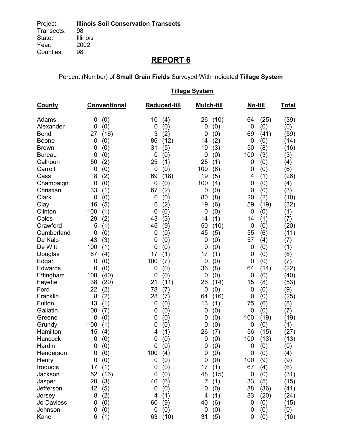Percent (Number) of **Small Grain Fields** Surveyed With Indicated **Tillage System** 

|                |                         |                     | <b>Tillage System</b> |                         |              |
|----------------|-------------------------|---------------------|-----------------------|-------------------------|--------------|
| <b>County</b>  | Conventional            | <b>Reduced-till</b> | <b>Mulch-till</b>     | No-till                 | <u>Total</u> |
| Adams          | (0)<br>0                | 10<br>(4)           | (10)<br>26            | (25)<br>64              | (39)         |
| Alexander      | (0)<br>0                | 0<br>(0)            | (0)<br>0              | (0)<br>0                | (0)          |
| <b>Bond</b>    | (16)<br>27              | 3<br>(2)            | (0)<br>0              | 69<br>(41)              | (59)         |
| <b>Boone</b>   | 0<br>(0)                | (12)<br>86          | (2)<br>14             | 0<br>(0)                | (14)         |
| <b>Brown</b>   | (0)<br>0                | 31<br>(5)           | 19<br>(3)             | 50<br>(8)               | (16)         |
| <b>Bureau</b>  | 0<br>(0)                | 0<br>(0)            | 0<br>(0)              | 100<br>(3)              | (3)          |
| Calhoun        | 50<br>(2)               | 25<br>(1)           | 25<br>(1)             | 0<br>(0)                | (4)          |
| Carroll        | 0<br>(0)                | 0<br>(0)            | 100<br>(6)            | (0)<br>0                | (6)          |
| Cass           | (2)<br>8                | 69<br>(18)          | 19<br>(5)             | (1)<br>4                | (26)         |
| Champaign      | 0<br>(0)                | (0)<br>0            | 100<br>(4)            | (0)<br>0                | (4)          |
| Christian      | 33<br>(1)               | 67<br>(2)           | 0<br>(0)              | (0)<br>0                | (3)          |
| <b>Clark</b>   | 0<br>(0)                | 0<br>(0)            | 80<br>(8)             | (2)<br>20               | (10)         |
| Clay           | 16<br>(5)               | (2)<br>6            | 19<br>(6)             | 59<br>(19)              | (32)         |
| Clinton        | 100<br>(1)              | 0<br>(0)            | 0<br>(0)              | 0<br>(0)                | (1)          |
| Coles          | 29<br>(2)               | 43<br>(3)           | 14<br>(1)             | (1)<br>14               | (7)          |
| Crawford       | 5<br>(1)                | 45<br>(9)           | 50<br>(10)            | 0<br>(0)                | (20)         |
| Cumberland     | 0<br>(0)                | 0<br>(0)            | 45<br>(5)             | 55<br>(6)               | (11)         |
| De Kalb        | 43<br>(3)               | (0)<br>0            | $\mathbf 0$<br>(0)    | 57<br>(4)               | (7)          |
| De Witt        | 100<br>(1)              | 0<br>(0)            | 0<br>(0)              | (0)<br>0                | (1)          |
| Douglas        | 67<br>(4)               | 17<br>(1)           | 17<br>(1)             | (0)<br>0                | (6)          |
| Edgar          | 0<br>(0)                | 100<br>(7)          | $\mathbf 0$<br>(0)    | (0)<br>0                | (7)          |
| <b>Edwards</b> | (0)<br>0                | 0<br>(0)            | 36<br>(8)             | (14)<br>64              | (22)         |
| Effingham      | 100<br>(40)             | (0)<br>0            | (0)<br>0              | $\mathbf 0$<br>(0)      | (40)         |
| Fayette        | 38<br>(20)              | 21<br>(11)          | 26<br>(14)            | 15<br>(8)               | (53)         |
| Ford           | 22<br>(2)               | 78<br>(7)           | 0<br>(0)              | 0<br>(0)                | (9)          |
| Franklin       | 8<br>(2)                | 28<br>(7)           | (16)<br>64            | 0<br>(0)                | (25)         |
| Fulton         | 13<br>(1)               | (0)<br>0            | 13<br>(1)             | 75<br>(6)               | (8)          |
| Gallatin       | 100<br>(7)              | 0<br>(0)            | 0<br>(0)              | (0)<br>0                | (7)          |
| Greene         | 0<br>(0)                | (0)<br>0            | 0<br>(0)              | (19)<br>100             | (19)         |
| Grundy         | 100<br>(1)              | (0)<br>0            | 0<br>(0)              | 0<br>(0)                | (1)          |
| Hamilton       | 15<br>(4)               | (1)<br>4            | 26<br>(7)             | (15)<br>56              | (27)         |
| Hancock        | $\boldsymbol{0}$<br>(0) | (0)<br>0            | 0<br>(0)              | 100<br>(13)             | (13)         |
| Hardin         | (0)<br>0                | 0<br>(0)            | (0)<br>0              | 0<br>(0)                | (0)          |
| Henderson      | 0<br>(0)                | 100<br>(4)          | 0<br>(0)              | 0<br>(0)                | (4)          |
| Henry          | 0<br>(0)                | 0<br>(0)            | 0<br>(0)              | 100<br>(9)              | (9)          |
| Iroquois       | (1)<br>17               | (0)<br>0            | 17<br>(1)             | 67<br>(4)               | (6)          |
| Jackson        | 52<br>(16)              | 0<br>(0)            | 48<br>(15)            | (0)<br>$\boldsymbol{0}$ | (31)         |
| Jasper         | 20<br>(3)               | 40<br>(6)           | 7<br>(1)              | 33<br>(5)               | (15)         |
| Jefferson      | 12<br>(5)               | 0<br>(0)            | 0<br>(0)              | 88<br>(36)              | (41)         |
| Jersey         | 8<br>(2)                | 4<br>(1)            | 4<br>(1)              | 83<br>(20)              | (24)         |
| Jo Daviess     | 0<br>(0)                | 60<br>(9)           | 40<br>(6)             | $\boldsymbol{0}$<br>(0) | (15)         |
| Johnson        | 0<br>(0)                | 0<br>(0)            | 0<br>(0)              | (0)<br>0                | (0)          |
| Kane           | 6<br>(1)                | 63<br>(10)          | 31<br>(5)             | 0<br>(0)                | (16)         |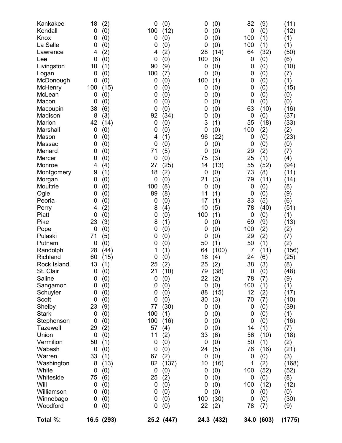| Kankakee<br>Kendall<br>Knox<br>La Salle<br>Lawrence<br>Lee<br>Livingston<br>Logan<br>McDonough<br>McHenry<br>McLean<br>Macon<br>Macoupin<br>Madison<br>Marion<br>Marshall<br>Mason<br>Massac<br>Menard<br>Mercer<br>Monroe<br>Montgomery<br>Morgan<br>Moultrie<br>Ogle<br>Peoria<br>Perry<br>Piatt<br>Pike<br>Pope<br>Pulaski<br>Putnam<br>Randolph<br>Richland<br>Rock Island<br>St. Clair<br>Saline<br>Sangamon<br>Schuyler<br>Scott<br>Shelby<br><b>Stark</b><br>Stephenson<br><b>Tazewell</b><br>Union<br>Vermilion<br>Wabash<br>Warren<br>Washington<br>White<br>Whiteside<br>Will<br>Williamson<br>Winnebago<br>Woodford<br>Total %: | 18<br>0<br>0<br>0<br>4<br>0<br>10<br>0<br>0<br>100<br>0<br>0<br>38<br>8<br>42<br>0<br>0<br>0<br>0<br>0<br>4<br>9<br>0<br>0<br>0<br>0<br>4<br>0<br>23<br>0<br>71<br>0<br>28<br>60<br>13<br>$\mathbf 0$<br>0<br>0<br>0<br>0<br>23<br>0<br>0<br>29<br>0<br>50<br>$\boldsymbol{0}$<br>33<br>8<br>0<br>75<br>0<br>0<br>0<br>0 | (2)<br>(0)<br>(0)<br>(0)<br>(2)<br>(0)<br>(1)<br>(0)<br>(0)<br>(15)<br>(0)<br>(0)<br>(6)<br>(3)<br>(14)<br>(0)<br>(0)<br>(0)<br>(0)<br>(0)<br>(4)<br>(1)<br>(0)<br>(0)<br>(0)<br>(0)<br>(2)<br>(0)<br>(3)<br>(0)<br>(5)<br>(0)<br>(44)<br>(15)<br>(1)<br>(0)<br>(0)<br>(0)<br>(0)<br>(0)<br>(9)<br>(0)<br>(0)<br>(2)<br>(0)<br>(1)<br>(0)<br>(1)<br>(13)<br>(0)<br>(6)<br>(0)<br>(0)<br>(0)<br>(0)<br>16.5 (293) | 0<br>100<br>0<br>0<br>4<br>0<br>90<br>100<br>0<br>0<br>0<br>0<br>0<br>92<br>0<br>0<br>4<br>0<br>71<br>0<br>27<br>18<br>0<br>100<br>89<br>0<br>8<br>0<br>8<br>0<br>0<br>0<br>1<br>0<br>25<br>21<br>0<br>0<br>0<br>0<br>77<br>100<br>100<br>57<br>11<br>0<br>0<br>67<br>82<br>0<br>25<br>0<br>0<br>0<br>0 | (0)<br>(12)<br>(0)<br>(0)<br>(2)<br>(0)<br>(9)<br>(7)<br>(0)<br>(0)<br>(0)<br>(0)<br>(0)<br>(34)<br>(0)<br>(0)<br>(1)<br>(0)<br>(5)<br>(0)<br>(25)<br>(2)<br>(0)<br>(8)<br>(8)<br>(0)<br>(4)<br>(0)<br>(1)<br>(0)<br>(0)<br>(0)<br>(1)<br>(0)<br>(2)<br>(10)<br>(0)<br>(0)<br>(0)<br>(0)<br>(30)<br>(1)<br>(16)<br>(4)<br>(2)<br>(0)<br>(0)<br>(2)<br>(137)<br>(0)<br>(2)<br>(0)<br>(0)<br>(0)<br>(0)<br>25.2 (447) | 0<br>0<br>0<br>0<br>28<br>100<br>0<br>0<br>100<br>0<br>0<br>0<br>0<br>0<br>3<br>0<br>96<br>0<br>0<br>75<br>14<br>$\mathbf 0$<br>21<br>$\mathbf 0$<br>11<br>17<br>10<br>100<br>0<br>0<br>0<br>50<br>64<br>16<br>25<br>79<br>22<br>0<br>88<br>30<br>0<br>0<br>0<br>0<br>33<br>0<br>24<br>0<br>10<br>0<br>0<br>0<br>0<br>100<br>22 | (0)<br>(0)<br>(0)<br>(0)<br>(14)<br>(6)<br>(0)<br>(0)<br>(1)<br>(0)<br>(0)<br>(0)<br>(0)<br>(0)<br>(1)<br>(0)<br>(22)<br>(0)<br>(0)<br>(3)<br>(13)<br>(0)<br>(3)<br>(0)<br>(1)<br>(1)<br>(5)<br>(1)<br>(0)<br>(0)<br>(0)<br>(1)<br>(100)<br>(4)<br>(2)<br>(38)<br>(2)<br>(0)<br>(15)<br>(3)<br>(0)<br>(0)<br>(0)<br>(0)<br>(6)<br>(0)<br>(5)<br>(0)<br>(16)<br>(0)<br>(0)<br>(0)<br>(0)<br>(30)<br>(2)<br>24.3 (432) | 82<br>0<br>100<br>100<br>64<br>0<br>0<br>0<br>0<br>0<br>0<br>0<br>63<br>0<br>55<br>100<br>0<br>0<br>29<br>25<br>55<br>73<br>79<br>0<br>0<br>83<br>78<br>0<br>69<br>100<br>29<br>50<br>7<br>24<br>38<br>$\mathbf 0$<br>78<br>100<br>12<br>70<br>0<br>0<br>0<br>14<br>56<br>50<br>76<br>0<br>1<br>100<br>0<br>100<br>0<br>0<br>78 | (9)<br>(0)<br>(1)<br>(1)<br>(32)<br>(0)<br>(0)<br>(0)<br>(0)<br>(0)<br>(0)<br>(0)<br>(10)<br>(0)<br>(18)<br>(2)<br>(0)<br>(0)<br>(2)<br>(1)<br>(52)<br>(8)<br>(11)<br>(0)<br>(0)<br>(5)<br>(40)<br>(0)<br>(9)<br>(2)<br>(2)<br>(1)<br>(11)<br>(6)<br>(3)<br>(0)<br>(7)<br>(1)<br>(2)<br>(7)<br>(0)<br>(0)<br>(0)<br>(1)<br>(10)<br>(1)<br>(16)<br>(0)<br>(2)<br>(52)<br>(0)<br>(12)<br>(0)<br>(0)<br>(7)<br>34.0 (603) | (11)<br>(12)<br>(1)<br>(1)<br>(50)<br>(6)<br>(10)<br>(7)<br>(1)<br>(15)<br>(0)<br>(0)<br>(16)<br>(37)<br>(33)<br>(2)<br>(23)<br>(0)<br>(7)<br>(4)<br>(94)<br>(11)<br>(14)<br>(8)<br>(9)<br>(6)<br>(51)<br>(1)<br>(13)<br>(2)<br>(7)<br>(2)<br>(156)<br>(25)<br>(8)<br>(48)<br>(9)<br>(1)<br>(17)<br>(10)<br>(39)<br>(1)<br>(16)<br>(7)<br>(18)<br>(2)<br>(21)<br>(3)<br>(168)<br>(52)<br>(8)<br>(12)<br>(0)<br>(30)<br>(9)<br>(1775) |
|--------------------------------------------------------------------------------------------------------------------------------------------------------------------------------------------------------------------------------------------------------------------------------------------------------------------------------------------------------------------------------------------------------------------------------------------------------------------------------------------------------------------------------------------------------------------------------------------------------------------------------------------|--------------------------------------------------------------------------------------------------------------------------------------------------------------------------------------------------------------------------------------------------------------------------------------------------------------------------|------------------------------------------------------------------------------------------------------------------------------------------------------------------------------------------------------------------------------------------------------------------------------------------------------------------------------------------------------------------------------------------------------------------|---------------------------------------------------------------------------------------------------------------------------------------------------------------------------------------------------------------------------------------------------------------------------------------------------------|---------------------------------------------------------------------------------------------------------------------------------------------------------------------------------------------------------------------------------------------------------------------------------------------------------------------------------------------------------------------------------------------------------------------|---------------------------------------------------------------------------------------------------------------------------------------------------------------------------------------------------------------------------------------------------------------------------------------------------------------------------------|----------------------------------------------------------------------------------------------------------------------------------------------------------------------------------------------------------------------------------------------------------------------------------------------------------------------------------------------------------------------------------------------------------------------|---------------------------------------------------------------------------------------------------------------------------------------------------------------------------------------------------------------------------------------------------------------------------------------------------------------------------------|------------------------------------------------------------------------------------------------------------------------------------------------------------------------------------------------------------------------------------------------------------------------------------------------------------------------------------------------------------------------------------------------------------------------|--------------------------------------------------------------------------------------------------------------------------------------------------------------------------------------------------------------------------------------------------------------------------------------------------------------------------------------------------------------------------------------------------------------------------------------|
|--------------------------------------------------------------------------------------------------------------------------------------------------------------------------------------------------------------------------------------------------------------------------------------------------------------------------------------------------------------------------------------------------------------------------------------------------------------------------------------------------------------------------------------------------------------------------------------------------------------------------------------------|--------------------------------------------------------------------------------------------------------------------------------------------------------------------------------------------------------------------------------------------------------------------------------------------------------------------------|------------------------------------------------------------------------------------------------------------------------------------------------------------------------------------------------------------------------------------------------------------------------------------------------------------------------------------------------------------------------------------------------------------------|---------------------------------------------------------------------------------------------------------------------------------------------------------------------------------------------------------------------------------------------------------------------------------------------------------|---------------------------------------------------------------------------------------------------------------------------------------------------------------------------------------------------------------------------------------------------------------------------------------------------------------------------------------------------------------------------------------------------------------------|---------------------------------------------------------------------------------------------------------------------------------------------------------------------------------------------------------------------------------------------------------------------------------------------------------------------------------|----------------------------------------------------------------------------------------------------------------------------------------------------------------------------------------------------------------------------------------------------------------------------------------------------------------------------------------------------------------------------------------------------------------------|---------------------------------------------------------------------------------------------------------------------------------------------------------------------------------------------------------------------------------------------------------------------------------------------------------------------------------|------------------------------------------------------------------------------------------------------------------------------------------------------------------------------------------------------------------------------------------------------------------------------------------------------------------------------------------------------------------------------------------------------------------------|--------------------------------------------------------------------------------------------------------------------------------------------------------------------------------------------------------------------------------------------------------------------------------------------------------------------------------------------------------------------------------------------------------------------------------------|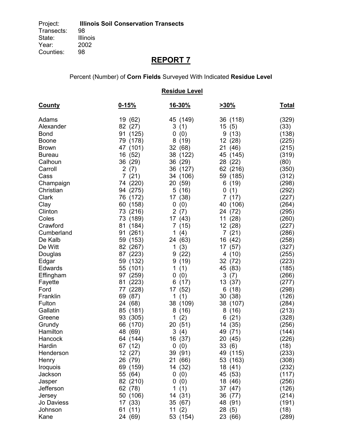### Percent (Number) of **Corn Fields** Surveyed With Indicated **Residue Level**

|                         |                       | <b>Residue Level</b>  |                    |                |
|-------------------------|-----------------------|-----------------------|--------------------|----------------|
| <b>County</b>           | $0 - 15%$             | <u>16-30%</u>         | <u>&gt;30%</u>     | <u>Total</u>   |
| Adams                   | (62)<br>19            | 45 (149)              | 36 (118)           | (329)          |
| Alexander               | 82<br>(27)            | 3<br>(1)              | (5)<br>15          | (33)           |
| <b>Bond</b>             | (125)<br>91           | (0)<br>0              | 9(13)              | (138)          |
| <b>Boone</b>            | 79 (178)              | 8<br>(19)             | 12 (28)            | (225)          |
| <b>Brown</b>            | 47 (101)              | 32 (68)               | 21 (46)            | (215)          |
| <b>Bureau</b>           | 16 (52)               | 38 (122)              | 45 (145)           | (319)          |
| Calhoun                 | 36 (29)               | 36 (29)               | 28 (22)            | (80)           |
| Carroll                 | $\overline{2}$<br>(7) | 36 (127)              | 62 (216)           | (350)          |
| Cass                    | 7(21)                 | 34 (106)              | 59 (185)           | (312)          |
| Champaign               | 74 (220)              | (59)<br>20            | 6<br>(19)          | (298)          |
| Christian               | 94<br>(275)           | 5<br>(16)             | (1)<br>0           | (292)          |
| <b>Clark</b>            | 76<br>(172)           | 17<br>(38)            | 7(17)              | (227)          |
| Clay                    | (158)<br>60           | (0)<br>0              | 40 (106)           | (264)          |
| Clinton                 | (216)<br>73           | $\overline{2}$<br>(7) | 24 (72)            | (295)          |
| Coles                   | 73 (189)              | 17 (43)               | 11 (28)            | (260)          |
| Crawford                | (184)<br>81           | (15)<br>7             | 12 (28)            | (227)          |
| Cumberland              | (261)<br>91           | 1<br>(4)              | 7(21)              | (286)          |
| De Kalb                 | 59<br>(153)           | 24 (63)               | 16 (42)            | (258)          |
| De Witt                 | 82<br>(267)           | 1<br>(3)              | 17 (57)            | (327)          |
| Douglas                 | 87<br>(223)<br>59     | (22)<br>9<br>9        | 4 (10)             | (255)          |
| Edgar<br><b>Edwards</b> | (132)<br>55 (101)     | (19)<br>1<br>(1)      | 32 (72)<br>45 (83) | (223)<br>(185) |
| Effingham               | 97 (259)              | (0)<br>0              | 3<br>(7)           | (266)          |
| Fayette                 | 81 (223)              | (17)<br>6             | 13 (37)            | (277)          |
| Ford                    | (228)<br>77           | (52)<br>17            | 6(18)              | (298)          |
| Franklin                | 69<br>(87)            | (1)<br>1              | 30 (38)            | (126)          |
| Fulton                  | 24 (68)               | 38 (109)              | 38 (107)           | (284)          |
| Gallatin                | 85 (181)              | (16)<br>8             | 8<br>(16)          | (213)          |
| Greene                  | 93<br>(305)           | 1<br>(2)              | (21)<br>6          | (328)          |
| Grundy                  | (170)<br>66           | 20<br>(51)            | (35)<br>14         | (256)          |
| Hamilton                | 48 (69)               | 3<br>(4)              | 49 (71)            | (144)          |
| Hancock                 | 64 (144)              | 16 (37)               | 20 (45)            | (226)          |
| Hardin                  | 67 (12)               | 0(0)                  | 33(6)              | (18)           |
| Henderson               | 12 (27)               | 39 (91)               | 49 (115)           | (233)          |
| Henry                   | 26 (79)               | 21 (66)               | 53 (163)           | (308)          |
| Iroquois                | 69 (159)              | 14 (32)               | 18 (41)            | (232)          |
| Jackson                 | 55 (64)               | 0(0)                  | 45 (53)            | (117)          |
| Jasper                  | 82 (210)              | (0)<br>0              | 18 (46)            | (256)          |
| Jefferson               | 62 (78)               | 1<br>(1)              | 37 (47)            | (126)          |
| Jersey                  | 50 (106)              | 14 (31)               | 36 (77)            | (214)          |
| Jo Daviess              | 17 (33)               | 35 (67)               | 48 (91)            | (191)          |
| Johnson                 | 61 (11)               | 11 $(2)$              | 28(5)              | (18)           |
| Kane                    | 24 (69)               | 53 (154)              | 23 (66)            | (289)          |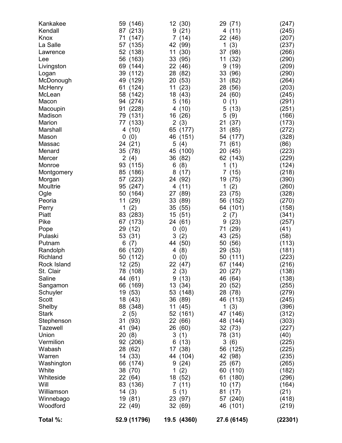| Total %:                                                                                                                                                                                                                                                    | 52.9 (11796)                                                                                                                                                                                                                                                                   | 19.5 (4360)                                                                                                                                                                                                                                                 | 27.6 (6145)                                                                                                                                                                                                                                                                                     | (22301)                                                                                                                                                                                 |
|-------------------------------------------------------------------------------------------------------------------------------------------------------------------------------------------------------------------------------------------------------------|--------------------------------------------------------------------------------------------------------------------------------------------------------------------------------------------------------------------------------------------------------------------------------|-------------------------------------------------------------------------------------------------------------------------------------------------------------------------------------------------------------------------------------------------------------|-------------------------------------------------------------------------------------------------------------------------------------------------------------------------------------------------------------------------------------------------------------------------------------------------|-----------------------------------------------------------------------------------------------------------------------------------------------------------------------------------------|
| Rock Island<br>St. Clair<br>Saline<br>Sangamon<br>Schuyler<br>Scott<br>Shelby<br><b>Stark</b><br>Stephenson<br><b>Tazewell</b><br>Union<br>Vermilion<br>Wabash<br>Warren<br>Washington<br>White<br>Whiteside<br>Will<br>Williamson<br>Winnebago<br>Woodford | 12 (25)<br>78 (108)<br>44 (61)<br>66 (169)<br>19 (53)<br>18 (43)<br>88 (348)<br>2(5)<br>31 (93)<br>41 (94)<br>20(8)<br>92 (206)<br>28 (62)<br>14 (33)<br>66 (174)<br>38 (70)<br>22 (64)<br>83 (136)<br>14(3)<br>19 (81)<br>22 (49)                                             | 22 (47)<br>2(3)<br>9(13)<br>13(34)<br>53 (148)<br>36 (89)<br>11(45)<br>52 (161)<br>22 (66)<br>26 (60)<br>3(1)<br>6(13)<br>17 (38)<br>44 (104)<br>9(24)<br>1 $(2)$<br>18 (52)<br>7(11)<br>5(1)<br>23 (97)<br>32 (69)                                         | 67 (144)<br>20 (27)<br>46 (64)<br>20 (52)<br>28 (78)<br>46 (113)<br>1 $(3)$<br>47 (146)<br>48 (144)<br>32 (73)<br>78 (31)<br>3<br>(6)<br>56 (125)<br>42 (98)<br>25 (67)<br>60 (110)<br>61 (180)<br>10(17)<br>81 (17)<br>57 (240)<br>46 (101)                                                    | (216)<br>(138)<br>(138)<br>(255)<br>(279)<br>(245)<br>(396)<br>(312)<br>(303)<br>(227)<br>(40)<br>(225)<br>(225)<br>(235)<br>(265)<br>(182)<br>(296)<br>(164)<br>(21)<br>(418)<br>(219) |
| Marion<br>Marshall<br>Mason<br>Massac<br>Menard<br>Mercer<br>Monroe<br>Montgomery<br>Morgan<br>Moultrie<br>Ogle<br>Peoria<br>Perry<br>Piatt<br>Pike<br>Pope<br>Pulaski<br>Putnam<br>Randolph<br>Richland                                                    | 77 (133)<br>(10)<br>4<br>0<br>(0)<br>(21)<br>24<br>35<br>(78)<br>2(4)<br>93<br>(115)<br>85<br>(186)<br>(223)<br>57<br>95<br>(247)<br>50<br>(164)<br>11<br>(29)<br>1<br>(2)<br>83<br>(283)<br>67<br>(173)<br>29<br>(12)<br>53<br>(31)<br>6<br>(7)<br>66<br>(120)<br>50<br>(112) | 2<br>(3)<br>65<br>(177)<br>46<br>(151)<br>(4)<br>5<br>45 (100)<br>(82)<br>36<br>(8)<br>6<br>8<br>(17)<br>24 (92)<br>(11)<br>4<br>27 (89)<br>33 (89)<br>35<br>(55)<br>15<br>(51)<br>24<br>(61)<br>0<br>(0)<br>3<br>(2)<br>(50)<br>44<br>(8)<br>4<br>(0)<br>0 | (37)<br>21<br>(85)<br>31<br>(177)<br>54<br>(61)<br>71<br>20 (45)<br>62 (143)<br>1<br>(1)<br>7 <sup>1</sup><br>(15)<br>(75)<br>19<br>1<br>(2)<br>23 (75)<br>56 (152)<br>(101)<br>64<br>$\overline{2}$<br>(7)<br>(23)<br>9<br>(29)<br>71<br>(25)<br>43<br>(56)<br>50<br>(53)<br>29<br>(111)<br>50 | (173)<br>(272)<br>(328)<br>(86)<br>(223)<br>(229)<br>(124)<br>(218)<br>(390)<br>(260)<br>(328)<br>(270)<br>(158)<br>(341)<br>(257)<br>(41)<br>(58)<br>(113)<br>(181)<br>(223)           |
| Kankakee<br>Kendall<br>Knox<br>La Salle<br>Lawrence<br>Lee<br>Livingston<br>Logan<br>McDonough<br>McHenry<br>McLean<br>Macon<br>Macoupin<br>Madison                                                                                                         | 59 (146)<br>87 (213)<br>71<br>(147)<br>57 (135)<br>52 (138)<br>56<br>(163)<br>69 (144)<br>39<br>(112)<br>49<br>(129)<br>(124)<br>61<br>58<br>(142)<br>94 (274)<br>91<br>(228)<br>(131)<br>79                                                                                   | 12 (30)<br>(21)<br>9<br>7(14)<br>(99)<br>42<br>(30)<br>11<br>33 (95)<br>22<br>(46)<br>28<br>(82)<br>20<br>(53)<br>11<br>(23)<br>18 (43)<br>(16)<br>5<br>(10)<br>4<br>(26)<br>16                                                                             | 29<br>(71)<br>(11)<br>4<br>22<br>(46)<br>(3)<br>1<br>(98)<br>37<br>(32)<br>11<br>9<br>(19)<br>33<br>(96)<br>31<br>(82)<br>28<br>(56)<br>(60)<br>24<br>(1)<br>0<br>5<br>(13)<br>5<br>(9)                                                                                                         | (247)<br>(245)<br>(207)<br>(237)<br>(266)<br>(290)<br>(209)<br>(290)<br>(264)<br>(203)<br>(245)<br>(291)<br>(251)<br>(166)                                                              |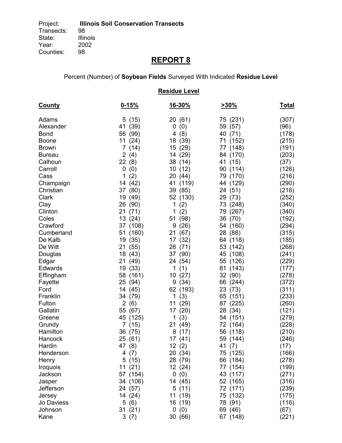### Percent (Number) of **Soybean Fields** Surveyed With Indicated **Residue Level**

| <b>Residue Level</b> |                        |                  |                    |                |  |  |  |
|----------------------|------------------------|------------------|--------------------|----------------|--|--|--|
| <u>County</u>        | $0 - 15%$              | <u>16-30%</u>    | <u>&gt;30%</u>     | <u>Total</u>   |  |  |  |
| Adams                | 5 (15)                 | 20 (61)          | 75 (231)           | (307)          |  |  |  |
| Alexander            | (39)<br>41             | 0<br>(0)         | (57)<br>59         | (96)           |  |  |  |
| <b>Bond</b>          | 56<br>(99)             | (8)<br>4         | 40 (71)            | (178)          |  |  |  |
| <b>Boone</b>         | 11<br>(24)             | 18 (39)          | 71 (152)           | (215)          |  |  |  |
| <b>Brown</b>         | $\overline{7}$<br>(14) | 15 (29)          | 77 (148)           | (191)          |  |  |  |
| <b>Bureau</b>        | $\overline{2}$<br>(4)  | (29)<br>14       | 84 (170)           | (203)          |  |  |  |
| Calhoun              | 22(8)                  | 38 (14)          | 41 (15)            | (37)           |  |  |  |
| Carroll              | 0<br>(0)               | 10<br>(12)       | 90 (114)           | (126)          |  |  |  |
| Cass                 | (2)<br>1               | 20<br>(44)       | 79 (170)           | (216)          |  |  |  |
| Champaign            | 14 (42)                | 41<br>(119)      | 44 (129)           | (290)          |  |  |  |
| Christian            | 37<br>(80)             | 39 (85)          | (51)<br>24         | (216)          |  |  |  |
| Clark                | 19<br>(49)             | 52 (130)         | 29<br>(73)         | (252)          |  |  |  |
| Clay                 | 26<br>(90)             | (2)<br>1         | 73 (248)           | (340)          |  |  |  |
| Clinton              | 21<br>(71)             | 1<br>(2)         | 79 (267)           | (340)          |  |  |  |
| Coles                | 13<br>(24)             | 51<br>(98)       | 36 (70)            | (192)          |  |  |  |
| Crawford             | 37 (108)               | (26)<br>9        | 54 (160)           | (294)          |  |  |  |
| Cumberland           | (160)<br>51            | (67)<br>21       | 28 (88)            | (315)          |  |  |  |
| De Kalb              | (35)<br>19             | 17<br>(32)       | 64 (118)           | (185)          |  |  |  |
| De Witt              | 21<br>(55)             | 26 (71)          | 53 (142)           | (268)          |  |  |  |
| Douglas              | 18<br>(43)             | (90)<br>37       | 45 (108)           | (241)          |  |  |  |
| Edgar                | 21<br>(49)             | (54)<br>24       | 55 (126)           | (229)          |  |  |  |
| Edwards              | 19 (33)                | 1<br>(1)         | 81 (143)           | (177)          |  |  |  |
| Effingham            | 58 (161)               | (27)<br>10       | 32 (90)            | (278)          |  |  |  |
| Fayette              | 25 (94)                | (34)<br>9        | 66 (244)           | (372)          |  |  |  |
| Ford                 | 14<br>(45)             | 62<br>(193)      | 23 (73)            | (311)          |  |  |  |
| Franklin             | 34<br>(79)             | 1<br>(3)         | 65 (151)           | (233)          |  |  |  |
| Fulton               | 2<br>(6)               | (29)<br>11       | 87 (225)           | (260)          |  |  |  |
| Gallatin             | 55<br>(67)             | (20)<br>17       | 28 (34)            | (121)          |  |  |  |
| Greene               | 45<br>(125)            | (3)<br>1         | 54 (151)           | (279)          |  |  |  |
| Grundy<br>Hamilton   | 7 (15)                 | (49)<br>21       | 72 (164)           | (228)          |  |  |  |
|                      | 36 (75)                | 8(17)            | 56 (118)           | (210)          |  |  |  |
| Hancock              | 25 (61)<br>47 (8)      | 17 (41)          | 59 (144)           | (246)          |  |  |  |
| Hardin<br>Henderson  | 4<br>(7)               | 12(2)<br>20 (34) | 41 (7)<br>75 (125) | (17)<br>(166)  |  |  |  |
|                      | 5(15)                  | 28 (79)          | 66 (184)           | (278)          |  |  |  |
| Henry<br>Iroquois    | 11(21)                 | 12 (24)          | 77 (154)           |                |  |  |  |
| Jackson              | 57 (154)               | 0(0)             | 43 (117)           | (199)<br>(271) |  |  |  |
| Jasper               | 34 (106)               | 14 (45)          | 52 (165)           | (316)          |  |  |  |
| Jefferson            | 24 (57)                | 5(11)            | 72 (171)           | (239)          |  |  |  |
| Jersey               | 14 (24)                | 11 (19)          | 75 (132)           | (175)          |  |  |  |
| Jo Daviess           | 5(6)                   | 16 (19)          | 78 (91)            | (116)          |  |  |  |
| Johnson              | 31(21)                 | 0(0)             | 69 (46)            | (67)           |  |  |  |
| Kane                 | 3(7)                   | 30 (66)          | 67 (148)           | (221)          |  |  |  |
|                      |                        |                  |                    |                |  |  |  |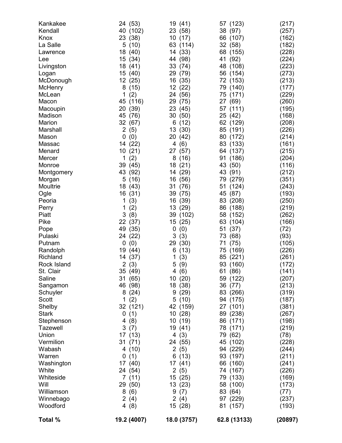| Kankakee<br>Kendall<br>Knox<br>La Salle<br>Lawrence<br>Lee<br>Livingston<br>Logan<br>McDonough<br>McHenry<br>McLean<br>Macon<br>Macoupin<br>Madison<br>Marion<br>Marshall<br>Mason<br>Massac<br>Menard<br>Mercer<br>Monroe<br>Montgomery<br>Morgan<br>Moultrie | (53)<br>24<br>40<br>(102)<br>23<br>(38)<br>5(10)<br>18<br>(40)<br>15<br>(34)<br>18<br>(41)<br>15<br>(40)<br>12<br>(25)<br>8<br>(15)<br>(2)<br>1<br>(116)<br>45<br>(39)<br>20<br>45<br>(76)<br>32<br>(67)<br>$\overline{2}$<br>(5)<br>0<br>(0)<br>(22)<br>14<br>10<br>(21)<br>(2)<br>1<br>39<br>(45)<br>43<br>(92)<br>5<br>(16)<br>18<br>(43) | 19 (41)<br>(58)<br>23<br>10(17)<br>63 (114)<br>14 (33)<br>(98)<br>44<br>33<br>(74)<br>29<br>(79)<br>16<br>(35)<br>12 <sup>°</sup><br>(22)<br>24<br>(56)<br>29<br>(75)<br>23<br>(45)<br>30<br>(50)<br>6<br>(12)<br>13<br>(30)<br>20<br>(42)<br>(6)<br>4<br>27<br>(57)<br>(16)<br>8<br>(21)<br>18<br>(29)<br>14<br>(56)<br>16<br>31<br>(76) | (123)<br>57<br>(97)<br>38<br>66 (107)<br>32 (58)<br>68 (155)<br>41<br>(92)<br>48 (108)<br>56 (154)<br>(153)<br>72<br>(140)<br>79<br>(171)<br>75<br>(69)<br>27<br>57<br>(111)<br>25<br>(42)<br>62 (129)<br>85 (191)<br>80 (172)<br>83 (133)<br>64 (137)<br>(186)<br>91<br>43 (50)<br>43 (91)<br>79 (279)<br>(124)<br>51 | (217)<br>(257)<br>(162)<br>(182)<br>(228)<br>(224)<br>(223)<br>(273)<br>(213)<br>(177)<br>(229)<br>(260)<br>(195)<br>(168)<br>(208)<br>(226)<br>(214)<br>(161)<br>(215)<br>(204)<br>(116)<br>(212)<br>(351)<br>(243) |
|----------------------------------------------------------------------------------------------------------------------------------------------------------------------------------------------------------------------------------------------------------------|----------------------------------------------------------------------------------------------------------------------------------------------------------------------------------------------------------------------------------------------------------------------------------------------------------------------------------------------|-------------------------------------------------------------------------------------------------------------------------------------------------------------------------------------------------------------------------------------------------------------------------------------------------------------------------------------------|------------------------------------------------------------------------------------------------------------------------------------------------------------------------------------------------------------------------------------------------------------------------------------------------------------------------|----------------------------------------------------------------------------------------------------------------------------------------------------------------------------------------------------------------------|
| Ogle<br>Peoria                                                                                                                                                                                                                                                 | 16<br>(31)<br>1<br>(3)                                                                                                                                                                                                                                                                                                                       | 39 (75)<br>16<br>(39)                                                                                                                                                                                                                                                                                                                     | (87)<br>45<br>83 (208)                                                                                                                                                                                                                                                                                                 | (193)<br>(250)                                                                                                                                                                                                       |
| Perry<br>Piatt<br>Pike                                                                                                                                                                                                                                         | 1<br>(2)<br>3<br>(8)<br>22<br>(37)                                                                                                                                                                                                                                                                                                           | 13<br>(29)<br>39<br>(102)<br>(25)<br>15                                                                                                                                                                                                                                                                                                   | 86<br>(188)<br>(152)<br>58<br>(104)<br>63                                                                                                                                                                                                                                                                              | (219)<br>(262)<br>(166)                                                                                                                                                                                              |
| Pope                                                                                                                                                                                                                                                           | 49<br>(35)                                                                                                                                                                                                                                                                                                                                   | 0<br>(0)                                                                                                                                                                                                                                                                                                                                  | (37)<br>51                                                                                                                                                                                                                                                                                                             | (72)                                                                                                                                                                                                                 |
| Pulaski<br>Putnam                                                                                                                                                                                                                                              | 24<br>(22)<br>0<br>(0)                                                                                                                                                                                                                                                                                                                       | 3<br>(3)<br>(30)<br>29                                                                                                                                                                                                                                                                                                                    | 73<br>(68)<br>71<br>(75)                                                                                                                                                                                                                                                                                               | (93)<br>(105)                                                                                                                                                                                                        |
| Randolph                                                                                                                                                                                                                                                       | 19<br>(44)                                                                                                                                                                                                                                                                                                                                   | (13)<br>6                                                                                                                                                                                                                                                                                                                                 | (169)<br>75                                                                                                                                                                                                                                                                                                            | (226)                                                                                                                                                                                                                |
| Richland<br>Rock Island                                                                                                                                                                                                                                        | 14<br>(37)<br>2(3)                                                                                                                                                                                                                                                                                                                           | 1<br>(3)<br>(9)<br>5                                                                                                                                                                                                                                                                                                                      | (221)<br>85<br>93 (160)                                                                                                                                                                                                                                                                                                | (261)<br>(172)                                                                                                                                                                                                       |
| St. Clair                                                                                                                                                                                                                                                      | 35 (49)                                                                                                                                                                                                                                                                                                                                      | 4 (6)                                                                                                                                                                                                                                                                                                                                     | 61 (86)                                                                                                                                                                                                                                                                                                                | (141)                                                                                                                                                                                                                |
| Saline                                                                                                                                                                                                                                                         | 31<br>(65)                                                                                                                                                                                                                                                                                                                                   | 10(20)                                                                                                                                                                                                                                                                                                                                    | 59 (122)                                                                                                                                                                                                                                                                                                               | (207)                                                                                                                                                                                                                |
| Sangamon                                                                                                                                                                                                                                                       | 46<br>(98)<br>8                                                                                                                                                                                                                                                                                                                              | 18 (38)<br>9                                                                                                                                                                                                                                                                                                                              | 36 (77)                                                                                                                                                                                                                                                                                                                | (213)                                                                                                                                                                                                                |
| Schuyler<br>Scott                                                                                                                                                                                                                                              | (24)<br>1<br>(2)                                                                                                                                                                                                                                                                                                                             | (29)<br>5(10)                                                                                                                                                                                                                                                                                                                             | 83 (266)<br>94 (175)                                                                                                                                                                                                                                                                                                   | (319)<br>(187)                                                                                                                                                                                                       |
| Shelby                                                                                                                                                                                                                                                         | 32 (121)                                                                                                                                                                                                                                                                                                                                     | 42 (159)                                                                                                                                                                                                                                                                                                                                  | 27 (101)                                                                                                                                                                                                                                                                                                               | (381)                                                                                                                                                                                                                |
| <b>Stark</b>                                                                                                                                                                                                                                                   | 0<br>(1)                                                                                                                                                                                                                                                                                                                                     | 10 (28)                                                                                                                                                                                                                                                                                                                                   | 89 (238)                                                                                                                                                                                                                                                                                                               | (267)                                                                                                                                                                                                                |
| Stephenson                                                                                                                                                                                                                                                     | (8)<br>4                                                                                                                                                                                                                                                                                                                                     | 10 (19)                                                                                                                                                                                                                                                                                                                                   | 86 (171)                                                                                                                                                                                                                                                                                                               | (198)                                                                                                                                                                                                                |
| <b>Tazewell</b><br>Union                                                                                                                                                                                                                                       | 3<br>(7)<br>17 (13)                                                                                                                                                                                                                                                                                                                          | 19 (41)<br>4 $(3)$                                                                                                                                                                                                                                                                                                                        | 78 (171)<br>79 (62)                                                                                                                                                                                                                                                                                                    | (219)<br>(78)                                                                                                                                                                                                        |
| Vermilion                                                                                                                                                                                                                                                      | 31(71)                                                                                                                                                                                                                                                                                                                                       | 24 (55)                                                                                                                                                                                                                                                                                                                                   | 45 (102)                                                                                                                                                                                                                                                                                                               | (228)                                                                                                                                                                                                                |
| Wabash                                                                                                                                                                                                                                                         | 4(10)                                                                                                                                                                                                                                                                                                                                        | 2(5)                                                                                                                                                                                                                                                                                                                                      | 94 (229)                                                                                                                                                                                                                                                                                                               | (244)                                                                                                                                                                                                                |
| Warren                                                                                                                                                                                                                                                         | (1)<br>0                                                                                                                                                                                                                                                                                                                                     | 6(13)                                                                                                                                                                                                                                                                                                                                     | 93 (197)                                                                                                                                                                                                                                                                                                               | (211)                                                                                                                                                                                                                |
| Washington<br>White                                                                                                                                                                                                                                            | 17 (40)<br>24 (54)                                                                                                                                                                                                                                                                                                                           | 17(41)<br>2(5)                                                                                                                                                                                                                                                                                                                            | 66 (160)<br>74 (167)                                                                                                                                                                                                                                                                                                   | (241)<br>(226)                                                                                                                                                                                                       |
| Whiteside                                                                                                                                                                                                                                                      | 7(11)                                                                                                                                                                                                                                                                                                                                        | 15 (25)                                                                                                                                                                                                                                                                                                                                   | 79 (133)                                                                                                                                                                                                                                                                                                               | (169)                                                                                                                                                                                                                |
| Will                                                                                                                                                                                                                                                           | 29 (50)                                                                                                                                                                                                                                                                                                                                      | 13 (23)                                                                                                                                                                                                                                                                                                                                   | 58 (100)                                                                                                                                                                                                                                                                                                               | (173)                                                                                                                                                                                                                |
| Williamson                                                                                                                                                                                                                                                     | 8<br>(6)                                                                                                                                                                                                                                                                                                                                     | 9<br>(7)                                                                                                                                                                                                                                                                                                                                  | 83 (64)                                                                                                                                                                                                                                                                                                                | (77)                                                                                                                                                                                                                 |
| Winnebago<br>Woodford                                                                                                                                                                                                                                          | 2(4)<br>4 $(8)$                                                                                                                                                                                                                                                                                                                              | 2(4)<br>15 (28)                                                                                                                                                                                                                                                                                                                           | 97 (229)<br>81 (157)                                                                                                                                                                                                                                                                                                   | (237)<br>(193)                                                                                                                                                                                                       |
| Total %                                                                                                                                                                                                                                                        | 19.2 (4007)                                                                                                                                                                                                                                                                                                                                  | 18.0 (3757)                                                                                                                                                                                                                                                                                                                               | 62.8 (13133)                                                                                                                                                                                                                                                                                                           | (20897)                                                                                                                                                                                                              |
|                                                                                                                                                                                                                                                                |                                                                                                                                                                                                                                                                                                                                              |                                                                                                                                                                                                                                                                                                                                           |                                                                                                                                                                                                                                                                                                                        |                                                                                                                                                                                                                      |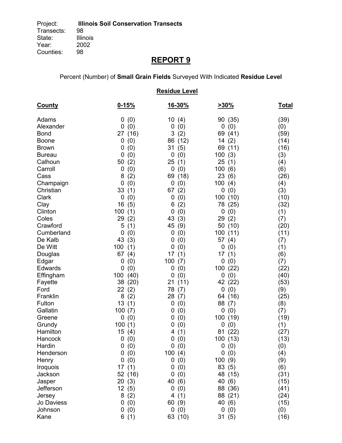### Percent (Number) of **Small Grain Fields** Surveyed With Indicated **Residue Level**

| <b>Residue Level</b> |                  |                    |                   |              |  |  |
|----------------------|------------------|--------------------|-------------------|--------------|--|--|
| <b>County</b>        | $0 - 15%$        | <u>16-30%</u>      | $>30\%$           | <u>Total</u> |  |  |
| Adams                | (0)<br>0         | 10(4)              | 90 (35)           | (39)         |  |  |
| Alexander            | 0<br>(0)         | 0<br>(0)           | (0)<br>0          | (0)          |  |  |
| <b>Bond</b>          | (16)<br>27       | 3<br>(2)           | 69 (41)           | (59)         |  |  |
| <b>Boone</b>         | 0<br>(0)         | 86<br>(12)         | 14(2)             | (14)         |  |  |
| <b>Brown</b>         | 0<br>(0)         | 31<br>(5)          | 69 (11)           | (16)         |  |  |
| <b>Bureau</b>        | 0<br>(0)         | 0<br>(0)           | 100(3)            | (3)          |  |  |
| Calhoun              | 50<br>(2)        | 25<br>(1)          | 25<br>(1)         | (4)          |  |  |
| Carroll              | 0<br>(0)         | $\mathbf 0$<br>(0) | 100<br>(6)        | (6)          |  |  |
| Cass                 | (2)<br>8         | 69<br>(18)         | 23<br>(6)         | (26)         |  |  |
| Champaign            | 0<br>(0)         | 0<br>(0)           | 100<br>(4)        | (4)          |  |  |
| Christian            | 33<br>(1)        | 67<br>(2)          | 0<br>(0)          | (3)          |  |  |
| Clark                | 0<br>(0)         | (0)<br>0           | 100 (10)          | (10)         |  |  |
| Clay                 | 16<br>(5)        | (2)<br>6           | 78 (25)           | (32)         |  |  |
| Clinton              | 100<br>(1)       | 0<br>(0)           | 0<br>(0)          | (1)          |  |  |
| Coles                | 29<br>(2)        | 43<br>(3)          | 29<br>(2)         | (7)          |  |  |
| Crawford             | 5<br>(1)         | 45<br>(9)          | 50 (10)           | (20)         |  |  |
| Cumberland           | 0<br>(0)         | (0)<br>0           | 100 (11)          | (11)         |  |  |
| De Kalb              | 43<br>(3)        | (0)<br>0           | 57<br>(4)         | (7)          |  |  |
| De Witt              | 100<br>(1)       | (0)<br>0           | 0<br>(0)          | (1)          |  |  |
| Douglas              | 67<br>(4)        | 17<br>(1)          | 17<br>(1)         | (6)          |  |  |
| Edgar                | (0)<br>0         | 100<br>(7)         | 0<br>(0)          | (7)          |  |  |
| Edwards              | (0)<br>0         | (0)<br>0           | 100 (22)          | (22)         |  |  |
| Effingham            | 100<br>(40)      | (0)<br>0           | 0<br>(0)          | (40)         |  |  |
| Fayette              | 38<br>(20)       | (11)<br>21         | 42 (22)           | (53)         |  |  |
| Ford                 | 22<br>(2)        | 78<br>(7)          | 0(0)              | (9)          |  |  |
| Franklin             | 8<br>(2)         | 28<br>(7)          | 64 (16)           | (25)         |  |  |
| Fulton               | 13<br>(1)        | 0<br>(0)           | 88<br>(7)         | (8)          |  |  |
| Gallatin             | 100<br>(7)       | (0)<br>0           | (0)<br>0          | (7)          |  |  |
| Greene               | 0<br>(0)         | (0)<br>0           | 100 (19)          | (19)         |  |  |
| Grundy               | 100(1)           | (0)<br>0           | 0<br>(0)          | (1)          |  |  |
| Hamilton             | 15(4)            | (1)<br>4           | (22)<br>81        | (27)         |  |  |
| Hancock              | 0(0)             | 0(0)               | 100 (13)          | (13)         |  |  |
| Hardin               | 0(0)             | 0(0)               | 0(0)              | (0)          |  |  |
| Henderson            | (0)<br>0         | 100(4)<br>0        | 0(0)              | (4)          |  |  |
| Henry                | 0<br>(0)         | (0)                | 100(9)            | (9)          |  |  |
| Iroquois<br>Jackson  | 17(1)<br>52 (16) | (0)<br>0<br>0      | 83 (5)            | (6)          |  |  |
|                      |                  | (0)                | 48 (15)           | (31)         |  |  |
| Jasper<br>Jefferson  | 20<br>(3)        | 40<br>(6)          | 40 (6)            | (15)         |  |  |
|                      | 12(5)            | (0)<br>0           | 88 (36)           | (41)         |  |  |
| Jersey<br>Jo Daviess | 8<br>(2)<br>0    | (1)<br>4           | 88 (21)<br>40 (6) | (24)<br>(15) |  |  |
| Johnson              | (0)<br>0         | 60(9)<br>0(0)      | 0(0)              |              |  |  |
| Kane                 | (0)              |                    |                   | (0)          |  |  |
|                      | 6(1)             | 63 (10)            | 31(5)             | (16)         |  |  |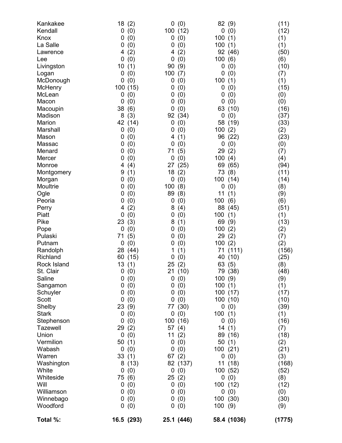| Kankakee<br>Kendall<br>Knox<br>La Salle<br>Lawrence<br>Lee<br>Livingston<br>Logan<br>McDonough<br>McHenry<br>McLean<br>Macon<br>Macoupin<br>Madison<br>Marion<br>Marshall<br>Mason<br>Massac<br>Menard<br>Mercer<br>Monroe<br>Montgomery<br>Morgan<br>Moultrie<br>Ogle<br>Peoria<br>Perry<br>Piatt<br>Pike<br>Pope<br>Pulaski<br>Putnam<br>Randolph<br>Richland<br>Rock Island<br>St. Clair<br>Saline<br>Sangamon<br>Schuyler<br>Scott<br>Shelby<br><b>Stark</b><br>Stephenson<br><b>Tazewell</b><br>Union<br>Vermilion | 18<br>(2)<br>0<br>(0)<br>(0)<br>0<br>(0)<br>0<br>(2)<br>4<br>0<br>(0)<br>10<br>(1)<br>0<br>(0)<br>(0)<br>0<br>100 (15)<br>0<br>(0)<br>(0)<br>0<br>38<br>(6)<br>8<br>(3)<br>42<br>(14)<br>0<br>(0)<br>0<br>(0)<br>0<br>(0)<br>0<br>(0)<br>(0)<br>0<br>(4)<br>4<br>9<br>(1)<br>0<br>(0)<br>0<br>(0)<br>(0)<br>0<br>(0)<br>0<br>(2)<br>4<br>0<br>(0)<br>23<br>(3)<br>0<br>(0)<br>71<br>(5)<br>0<br>(0)<br>28<br>(44)<br>60<br>(15)<br>13<br>(1)<br>0(0)<br>0<br>(0)<br>0<br>(0)<br>(0)<br>0<br>(0)<br>0<br>23 (9)<br>0<br>(0)<br>0<br>(0)<br>29<br>(2)<br>0<br>(0)<br>50<br>(1) | (0)<br>0<br>100 (12)<br>(0)<br>0<br>(0)<br>0<br>(2)<br>4<br>0<br>(0)<br>(9)<br>90<br>100<br>(7)<br>(0)<br>0<br>(0)<br>0<br>(0)<br>0<br>(0)<br>0<br>0<br>(0)<br>92<br>(34)<br>0<br>(0)<br>(0)<br>0<br>4<br>(1)<br>(0)<br>0<br>71<br>(5)<br>(0)<br>0<br>(25)<br>27<br>18<br>(2)<br>0<br>(0)<br>100<br>(8)<br>89<br>(8)<br>(0)<br>0<br>8<br>(4)<br>(0)<br>0<br>8<br>(1)<br>(0)<br>0<br>(0)<br>0<br>(0)<br>0<br>(1)<br>1<br>(0)<br>0<br>25<br>(2)<br>21 (10)<br>(0)<br>0<br>(0)<br>0<br>(0)<br>0<br>(0)<br>0<br>(30)<br>77<br>(0)<br>0<br>100 (16)<br>57(4)<br>11<br>(2)<br>(0)<br>0 | 82 (9)<br>0<br>(0)<br>100<br>(1)<br>100(1)<br>92 (46)<br>100<br>(6)<br>0<br>(0)<br>0<br>(0)<br>100<br>(1)<br>0<br>(0)<br>0<br>(0)<br>(0)<br>0<br>63<br>(10)<br>0<br>(0)<br>58<br>(19)<br>100<br>(2)<br>96<br>(22)<br>0<br>(0)<br>29<br>(2)<br>100<br>(4)<br>69<br>(65)<br>73<br>(8)<br>100<br>(14)<br>0<br>(0)<br>11<br>(1)<br>100<br>(6)<br>88<br>(45)<br>100<br>(1)<br>69<br>(9)<br>(2)<br>100<br>29<br>(2)<br>100<br>(2)<br>(111)<br>71<br>(10)<br>40<br>63 (5)<br>79 (38)<br>100(9)<br>100(1)<br>100 (17)<br>100(10)<br>0(0)<br>100(1)<br>0<br>(0)<br>14(1)<br>89 (16)<br>50(1) | (11)<br>(12)<br>(1)<br>(1)<br>(50)<br>(6)<br>(10)<br>(7)<br>(1)<br>(15)<br>(0)<br>(0)<br>(16)<br>(37)<br>(33)<br>(2)<br>(23)<br>(0)<br>(7)<br>(4)<br>(94)<br>(11)<br>(14)<br>(8)<br>(9)<br>(6)<br>(51)<br>(1)<br>(13)<br>(2)<br>(7)<br>(2)<br>(156)<br>(25)<br>(8)<br>(48)<br>(9)<br>(1)<br>(17)<br>(10)<br>(39)<br>(1)<br>(16)<br>(7)<br>(18)<br>(2) |
|-------------------------------------------------------------------------------------------------------------------------------------------------------------------------------------------------------------------------------------------------------------------------------------------------------------------------------------------------------------------------------------------------------------------------------------------------------------------------------------------------------------------------|------------------------------------------------------------------------------------------------------------------------------------------------------------------------------------------------------------------------------------------------------------------------------------------------------------------------------------------------------------------------------------------------------------------------------------------------------------------------------------------------------------------------------------------------------------------------------|----------------------------------------------------------------------------------------------------------------------------------------------------------------------------------------------------------------------------------------------------------------------------------------------------------------------------------------------------------------------------------------------------------------------------------------------------------------------------------------------------------------------------------------------------------------------------------|-------------------------------------------------------------------------------------------------------------------------------------------------------------------------------------------------------------------------------------------------------------------------------------------------------------------------------------------------------------------------------------------------------------------------------------------------------------------------------------------------------------------------------------------------------------------------------------|-------------------------------------------------------------------------------------------------------------------------------------------------------------------------------------------------------------------------------------------------------------------------------------------------------------------------------------------------------|
|                                                                                                                                                                                                                                                                                                                                                                                                                                                                                                                         |                                                                                                                                                                                                                                                                                                                                                                                                                                                                                                                                                                              |                                                                                                                                                                                                                                                                                                                                                                                                                                                                                                                                                                                  |                                                                                                                                                                                                                                                                                                                                                                                                                                                                                                                                                                                     |                                                                                                                                                                                                                                                                                                                                                       |
|                                                                                                                                                                                                                                                                                                                                                                                                                                                                                                                         |                                                                                                                                                                                                                                                                                                                                                                                                                                                                                                                                                                              |                                                                                                                                                                                                                                                                                                                                                                                                                                                                                                                                                                                  |                                                                                                                                                                                                                                                                                                                                                                                                                                                                                                                                                                                     |                                                                                                                                                                                                                                                                                                                                                       |
|                                                                                                                                                                                                                                                                                                                                                                                                                                                                                                                         |                                                                                                                                                                                                                                                                                                                                                                                                                                                                                                                                                                              |                                                                                                                                                                                                                                                                                                                                                                                                                                                                                                                                                                                  |                                                                                                                                                                                                                                                                                                                                                                                                                                                                                                                                                                                     |                                                                                                                                                                                                                                                                                                                                                       |
| Wabash<br>Warren                                                                                                                                                                                                                                                                                                                                                                                                                                                                                                        | 0<br>(0)<br>33(1)                                                                                                                                                                                                                                                                                                                                                                                                                                                                                                                                                            | 0<br>(0)<br>(2)<br>67                                                                                                                                                                                                                                                                                                                                                                                                                                                                                                                                                            | 100 (21)<br>0<br>(0)                                                                                                                                                                                                                                                                                                                                                                                                                                                                                                                                                                | (21)<br>(3)                                                                                                                                                                                                                                                                                                                                           |
| Washington                                                                                                                                                                                                                                                                                                                                                                                                                                                                                                              | 8<br>(13)                                                                                                                                                                                                                                                                                                                                                                                                                                                                                                                                                                    | 82 (137)                                                                                                                                                                                                                                                                                                                                                                                                                                                                                                                                                                         | 11 (18)                                                                                                                                                                                                                                                                                                                                                                                                                                                                                                                                                                             | (168)                                                                                                                                                                                                                                                                                                                                                 |
| White                                                                                                                                                                                                                                                                                                                                                                                                                                                                                                                   | (0)<br>0                                                                                                                                                                                                                                                                                                                                                                                                                                                                                                                                                                     | 0<br>(0)                                                                                                                                                                                                                                                                                                                                                                                                                                                                                                                                                                         | 100 (52)                                                                                                                                                                                                                                                                                                                                                                                                                                                                                                                                                                            | (52)                                                                                                                                                                                                                                                                                                                                                  |
| Whiteside                                                                                                                                                                                                                                                                                                                                                                                                                                                                                                               | 75<br>(6)                                                                                                                                                                                                                                                                                                                                                                                                                                                                                                                                                                    | 25(2)                                                                                                                                                                                                                                                                                                                                                                                                                                                                                                                                                                            | 0(0)                                                                                                                                                                                                                                                                                                                                                                                                                                                                                                                                                                                | (8)                                                                                                                                                                                                                                                                                                                                                   |
| Will                                                                                                                                                                                                                                                                                                                                                                                                                                                                                                                    | 0<br>(0)                                                                                                                                                                                                                                                                                                                                                                                                                                                                                                                                                                     | 0<br>(0)                                                                                                                                                                                                                                                                                                                                                                                                                                                                                                                                                                         | 100 (12)                                                                                                                                                                                                                                                                                                                                                                                                                                                                                                                                                                            | (12)                                                                                                                                                                                                                                                                                                                                                  |
| Williamson<br>Winnebago                                                                                                                                                                                                                                                                                                                                                                                                                                                                                                 | (0)<br>0<br>0                                                                                                                                                                                                                                                                                                                                                                                                                                                                                                                                                                | (0)<br>0<br>0                                                                                                                                                                                                                                                                                                                                                                                                                                                                                                                                                                    | 0<br>(0)<br>100(30)                                                                                                                                                                                                                                                                                                                                                                                                                                                                                                                                                                 | (0)                                                                                                                                                                                                                                                                                                                                                   |
| Woodford                                                                                                                                                                                                                                                                                                                                                                                                                                                                                                                | (0)<br>0<br>(0)                                                                                                                                                                                                                                                                                                                                                                                                                                                                                                                                                              | (0)<br>0<br>(0)                                                                                                                                                                                                                                                                                                                                                                                                                                                                                                                                                                  | 100(9)                                                                                                                                                                                                                                                                                                                                                                                                                                                                                                                                                                              | (30)<br>(9)                                                                                                                                                                                                                                                                                                                                           |
| Total %:                                                                                                                                                                                                                                                                                                                                                                                                                                                                                                                | 16.5 (293)                                                                                                                                                                                                                                                                                                                                                                                                                                                                                                                                                                   | 25.1 (446)                                                                                                                                                                                                                                                                                                                                                                                                                                                                                                                                                                       | 58.4 (1036)                                                                                                                                                                                                                                                                                                                                                                                                                                                                                                                                                                         | (1775)                                                                                                                                                                                                                                                                                                                                                |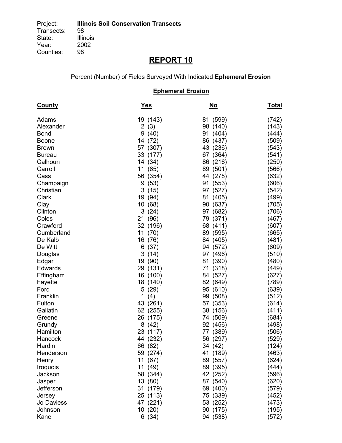Percent (Number) of Fields Surveyed With Indicated **Ephemeral Erosion**

### **Ephemeral Erosion**

| <b>County</b>   | <b>Yes</b>          | <u>No</u>            | <b>Total</b>   |
|-----------------|---------------------|----------------------|----------------|
| Adams           | 19 (143)            | 81 (599)             | (742)          |
| Alexander       | 2(3)                | 98 (140)             | (143)          |
| <b>Bond</b>     | 9(40)               | 91 (404)             | (444)          |
| <b>Boone</b>    | 14 (72)             | 86 (437)             | (509)          |
| <b>Brown</b>    | 57 (307)            | 43 (236)             | (543)          |
| <b>Bureau</b>   | 33 (177)            | 67 (364)             | (541)          |
| Calhoun         | 14 (34)             | 86 (216)             | (250)          |
| Carroll         | 11 (65)             | 89 (501)             | (566)          |
| Cass            | 56 (354)            | 44 (278)             | (632)          |
| Champaign       | 9(53)               | 91 (553)             | (606)          |
| Christian       | 3(15)               | 97 (527)             | (542)          |
| Clark           | 19 (94)             | 81 (405)             | (499)          |
| Clay            | 10 (68)             | 90 (637)             | (705)          |
| Clinton         | 3(24)               | 97 (682)             | (706)          |
| Coles           | 21 (96)             | 79 (371)             | (467)          |
| Crawford        | 32 (196)            | 68 (411)             | (607)          |
| Cumberland      | 11 (70)             | 89 (595)             | (665)          |
| De Kalb         | 16 (76)             | 84 (405)             | (481)          |
| De Witt         | 6(37)               | 94 (572)             | (609)          |
| Douglas         | 3(14)               | 97 (496)             | (510)          |
| Edgar           | 19 (90)             | 81 (390)             | (480)          |
| Edwards         | 29 (131)            | 71 (318)             | (449)          |
| Effingham       | 16 (100)            | 84 (527)             | (627)          |
| Fayette<br>Ford | 18 (140)<br>5(29)   | 82 (649)<br>95 (610) | (789)<br>(639) |
| Franklin        | $\mathbf{1}$<br>(4) | 99 (508)             | (512)          |
| Fulton          | 43 (261)            | 57 (353)             | (614)          |
| Gallatin        | 62 (255)            | 38 (156)             | (411)          |
| Greene          | 26 (175)            | 74 (509)             | (684)          |
| Grundy          | 8(42)               | 92 (456)             | (498)          |
| Hamilton        | 23 (117)            | 77 (389)             | (506)          |
| Hancock         | 44<br>(232)         | 56 (297)             | (529)          |
| Hardin          | 66 (82)             | 34 (42)              | (124)          |
| Henderson       | 59 (274)            | 41 (189)             | (463)          |
| Henry           | 11 (67)             | 89 (557)             | (624)          |
| Iroquois        | 11 (49)             | 89 (395)             | (444)          |
| Jackson         | 58 (344)            | 42 (252)             | (596)          |
| Jasper          | 13 (80)             | 87 (540)             | (620)          |
| Jefferson       | 31 (179)            | 69 (400)             | (579)          |
| Jersey          | 25 (113)            | 75 (339)             | (452)          |
| Jo Daviess      | 47 (221)            | 53 (252)             | (473)          |
| Johnson         | 10(20)              | 90 (175)             | (195)          |
| Kane            | 6(34)               | 94 (538)             | (572)          |